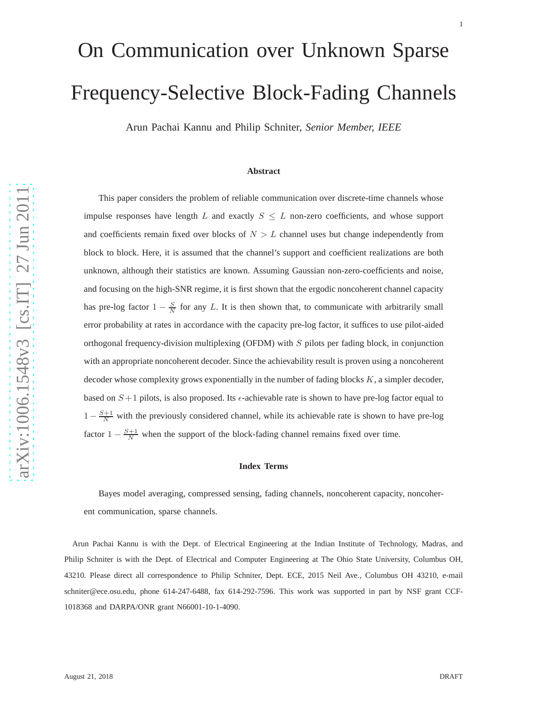# On Communication over Unknown Sparse Frequency-Selective Block-Fading Channels

Arun Pachai Kannu and Philip Schniter, *Senior Member, IEEE*

#### **Abstract**

This paper considers the problem of reliable communication over discrete-time channels whose impulse responses have length L and exactly  $S \leq L$  non-zero coefficients, and whose support and coefficients remain fixed over blocks of  $N > L$  channel uses but change independently from block to block. Here, it is assumed that the channel's support and coefficient realizations are both unknown, although their statistics are known. Assuming Gaussian non-zero-coefficients and noise, and focusing on the high-SNR regime, it is first shown that the ergodic noncoherent channel capacity has pre-log factor  $1 - \frac{S}{N}$  for any L. It is then shown that, to communicate with arbitrarily small error probability at rates in accordance with the capacity pre-log factor, it suffices to use pilot-aided orthogonal frequency-division multiplexing (OFDM) with S pilots per fading block, in conjunction with an appropriate noncoherent decoder. Since the achievability result is proven using a noncoherent decoder whose complexity grows exponentially in the number of fading blocks K, a simpler decoder, based on  $S+1$  pilots, is also proposed. Its  $\epsilon$ -achievable rate is shown to have pre-log factor equal to  $1 - \frac{S+1}{N}$  with the previously considered channel, while its achievable rate is shown to have pre-log factor  $1 - \frac{S+1}{N}$  when the support of the block-fading channel remains fixed over time.

#### **Index Terms**

Bayes model averaging, compressed sensing, fading channels, noncoherent capacity, noncoherent communication, sparse channels.

Arun Pachai Kannu is with the Dept. of Electrical Engineering at the Indian Institute of Technology, Madras, and Philip Schniter is with the Dept. of Electrical and Computer Engineering at The Ohio State University, Columbus OH, 43210. Please direct all correspondence to Philip Schniter, Dept. ECE, 2015 Neil Ave., Columbus OH 43210, e-mail schniter@ece.osu.edu, phone 614-247-6488, fax 614-292-7596. This work was supported in part by NSF grant CCF-1018368 and DARPA/ONR grant N66001-10-1-4090.

1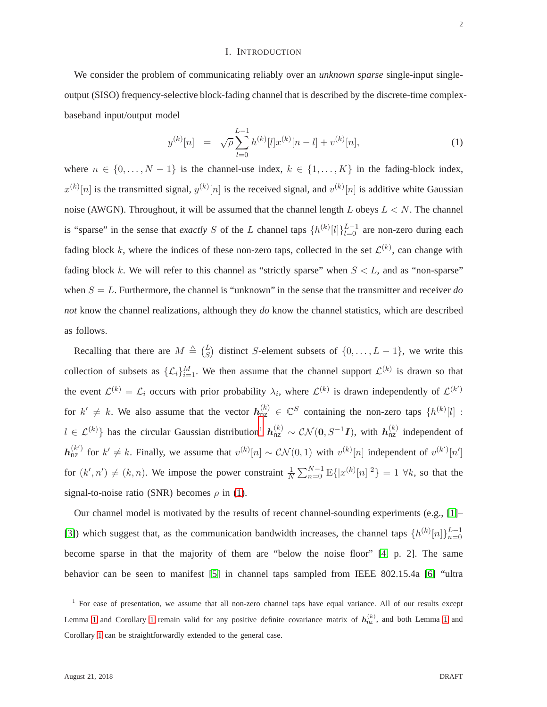#### I. INTRODUCTION

<span id="page-1-2"></span>We consider the problem of communicating reliably over an *unknown sparse* single-input singleoutput (SISO) frequency-selective block-fading channel that is described by the discrete-time complexbaseband input/output model

<span id="page-1-1"></span>
$$
y^{(k)}[n] = \sqrt{\rho} \sum_{l=0}^{L-1} h^{(k)}[l] x^{(k)}[n-l] + v^{(k)}[n], \tag{1}
$$

where  $n \in \{0, \ldots, N-1\}$  is the channel-use index,  $k \in \{1, \ldots, K\}$  in the fading-block index,  $x^{(k)}[n]$  is the transmitted signal,  $y^{(k)}[n]$  is the received signal, and  $v^{(k)}[n]$  is additive white Gaussian noise (AWGN). Throughout, it will be assumed that the channel length  $L$  obeys  $L < N$ . The channel is "sparse" in the sense that *exactly* S of the L channel taps  $\{h^{(k)}[l]\}_{l=0}^{L-1}$  are non-zero during each fading block k, where the indices of these non-zero taps, collected in the set  $\mathcal{L}^{(k)}$ , can change with fading block k. We will refer to this channel as "strictly sparse" when  $S < L$ , and as "non-sparse" when  $S = L$ . Furthermore, the channel is "unknown" in the sense that the transmitter and receiver  $d\sigma$ *not* know the channel realizations, although they *do* know the channel statistics, which are described as follows.

Recalling that there are  $M \triangleq {L \choose S}$  distinct S-element subsets of  $\{0, \ldots, L-1\}$ , we write this collection of subsets as  $\{\mathcal{L}_i\}_{i=1}^M$ . We then assume that the channel support  $\mathcal{L}^{(k)}$  is drawn so that the event  $\mathcal{L}^{(k)} = \mathcal{L}_i$  occurs with prior probability  $\lambda_i$ , where  $\mathcal{L}^{(k)}$  is drawn independently of  $\mathcal{L}^{(k')}$ for  $k' \neq k$ . We also assume that the vector  $h_{nz}^{(k)} \in \mathbb{C}^S$  containing the non-zero taps  $\{h^{(k)}[l]:$  $l \in \mathcal{L}^{(k)}$ } has the circular Gaussian distribution<sup>[1](#page-1-0)</sup>  $h_{nz}^{(k)} \sim \mathcal{CN}(0, S^{-1}I)$ , with  $h_{nz}^{(k)}$  independent of  $h_{nz}^{(k')}$  for  $k' \neq k$ . Finally, we assume that  $v^{(k)}[n] \sim \mathcal{CN}(0,1)$  with  $v^{(k)}[n]$  independent of  $v^{(k')}[n']$ for  $(k', n') \neq (k, n)$ . We impose the power constraint  $\frac{1}{N} \sum_{n=0}^{N-1} E\{|x^{(k)}[n]|^2\} = 1 \forall k$ , so that the signal-to-noise ratio (SNR) becomes  $\rho$  in [\(1\)](#page-1-1).

Our channel model is motivated by the results of recent channel-sounding experiments (e.g., [\[1\]](#page-28-0)– [\[3\]](#page-28-1)) which suggest that, as the communication bandwidth increases, the channel taps  $\{h^{(k)}[n]\}_{n=0}^{L-1}$ become sparse in that the majority of them are "below the noise floor" [\[4,](#page-28-2) p. 2]. The same behavior can be seen to manifest [\[5\]](#page-28-3) in channel taps sampled from IEEE 802.15.4a [\[6\]](#page-28-4) "ultra

<span id="page-1-0"></span><sup>&</sup>lt;sup>1</sup> For ease of presentation, we assume that all non-zero channel taps have equal variance. All of our results except Lemma [1](#page-8-0) and Corollary 1 remain valid for any positive definite covariance matrix of  $h_{nz}^{(k)}$ , and both Lemma 1 and Corollary [1](#page-9-0) can be straightforwardly extended to the general case.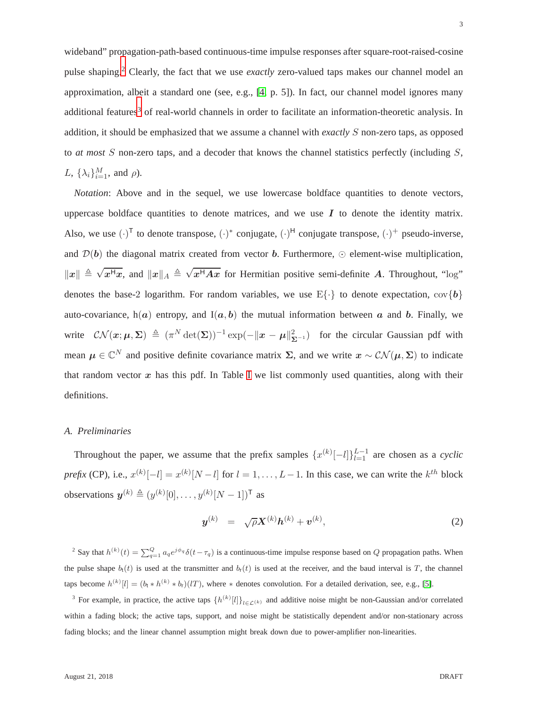wideband" propagation-path-based continuous-time impulse responses after square-root-raised-cosine pulse shaping.[2](#page-2-0) Clearly, the fact that we use *exactly* zero-valued taps makes our channel model an approximation, albeit a standard one (see, e.g., [\[4,](#page-28-2) p. 5]). In fact, our channel model ignores many additional features<sup>[3](#page-2-1)</sup> of real-world channels in order to facilitate an information-theoretic analysis. In addition, it should be emphasized that we assume a channel with *exactly* S non-zero taps, as opposed to *at most* S non-zero taps, and a decoder that knows the channel statistics perfectly (including S, L,  $\{\lambda_i\}_{i=1}^M$ , and  $\rho$ ).

*Notation*: Above and in the sequel, we use lowercase boldface quantities to denote vectors, uppercase boldface quantities to denote matrices, and we use  $I$  to denote the identity matrix. Also, we use  $(\cdot)^T$  to denote transpose,  $(\cdot)^*$  conjugate,  $(\cdot)^H$  conjugate transpose,  $(\cdot)^+$  pseudo-inverse, and  $\mathcal{D}(\boldsymbol{b})$  the diagonal matrix created from vector **b**. Furthermore,  $\odot$  element-wise multiplication,  $||x|| \triangleq \sqrt{x^Hx}$ , and  $||x||_A \triangleq \sqrt{x^HAx}$  for Hermitian positive semi-definite A. Throughout, "log" denotes the base-2 logarithm. For random variables, we use  $E\{\cdot\}$  to denote expectation,  $cov\{b\}$ auto-covariance,  $h(a)$  entropy, and  $I(a, b)$  the mutual information between a and b. Finally, we write  $\mathcal{CN}(\boldsymbol{x};\boldsymbol{\mu},\boldsymbol{\Sigma}) \triangleq (\pi^N \det(\boldsymbol{\Sigma}))^{-1} \exp(-\|\boldsymbol{x}-\boldsymbol{\mu}\|_{\boldsymbol{\Sigma}^{-1}}^2)$  for the circular Gaussian pdf with mean  $\mu \in \mathbb{C}^N$  and positive definite covariance matrix  $\Sigma$ , and we write  $x \sim \mathcal{CN}(\mu, \Sigma)$  to indicate that random vector  $x$  has this pdf. [I](#page-30-0)n Table I we list commonly used quantities, along with their definitions.

## <span id="page-2-3"></span>*A. Preliminaries*

Throughout the paper, we assume that the prefix samples  $\{x^{(k)}[-l]\}_{l=1}^{L-1}$  are chosen as a *cyclic prefix* (CP), i.e.,  $x^{(k)}[-l] = x^{(k)}[N-l]$  for  $l = 1, ..., L-1$ . In this case, we can write the  $k^{th}$  block observations  $y^{(k)} \triangleq (y^{(k)}[0], \dots, y^{(k)}[N-1])^{\mathsf{T}}$  as

<span id="page-2-2"></span>
$$
\mathbf{y}^{(k)} = \sqrt{\rho} \mathbf{X}^{(k)} \mathbf{h}^{(k)} + \mathbf{v}^{(k)}, \tag{2}
$$

<span id="page-2-0"></span><sup>2</sup> Say that  $h^{(k)}(t) = \sum_{q=1}^{Q} a_q e^{j\phi_q} \delta(t-\tau_q)$  is a continuous-time impulse response based on Q propagation paths. When the pulse shape  $b_t(t)$  is used at the transmitter and  $b_t(t)$  is used at the receiver, and the baud interval is T, the channel taps become  $h^{(k)}[l] = (b_t * h^{(k)} * b_t)(l)$ , where  $*$  denotes convolution. For a detailed derivation, see, e.g., [\[5\]](#page-28-3).

<span id="page-2-1"></span><sup>3</sup> For example, in practice, the active taps  $\{h^{(k)}[l]\}_{l \in \mathcal{L}(k)}$  and additive noise might be non-Gaussian and/or correlated within a fading block; the active taps, support, and noise might be statistically dependent and/or non-stationary across fading blocks; and the linear channel assumption might break down due to power-amplifier non-linearities.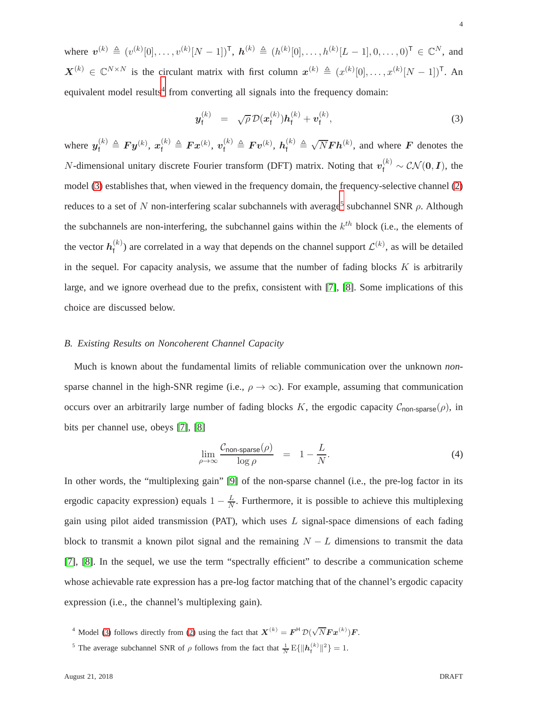where  $v^{(k)} \triangleq (v^{(k)}[0], \ldots, v^{(k)}[N-1])^{\mathsf{T}}$ ,  $h^{(k)} \triangleq (h^{(k)}[0], \ldots, h^{(k)}[L-1], 0, \ldots, 0)^{\mathsf{T}} \in \mathbb{C}^{N}$ , and  $\mathbf{X}^{(k)} \in \mathbb{C}^{N \times N}$  is the circulant matrix with first column  $\mathbf{x}^{(k)} \triangleq (x^{(k)}[0], \dots, x^{(k)}[N-1])^{\mathsf{T}}$ . An equivalent model results<sup>[4](#page-3-0)</sup> from converting all signals into the frequency domain:

<span id="page-3-1"></span>
$$
\mathbf{y}_{\mathsf{f}}^{(k)} = \sqrt{\rho} \, \mathcal{D}(\mathbf{x}_{\mathsf{f}}^{(k)}) \mathbf{h}_{\mathsf{f}}^{(k)} + \mathbf{v}_{\mathsf{f}}^{(k)}, \tag{3}
$$

where  $y_f^{(k)} \triangleq F y^{(k)}$ ,  $x_f^{(k)} \triangleq F x^{(k)}$ ,  $v_f^{(k)} \triangleq F v^{(k)}$ ,  $h_f^{(k)} \triangleq \sqrt{N} F h^{(k)}$ , and where  $F$  denotes the *N*-dimensional unitary discrete Fourier transform (DFT) matrix. Noting that  $v_f^{(k)} \sim \mathcal{CN}(\mathbf{0}, \mathbf{I})$ , the model [\(3\)](#page-3-1) establishes that, when viewed in the frequency domain, the frequency-selective channel [\(2\)](#page-2-2) reduces to a set of N non-interfering scalar subchannels with average<sup>[5](#page-3-2)</sup> subchannel SNR  $\rho$ . Although the subchannels are non-interfering, the subchannel gains within the  $k^{th}$  block (i.e., the elements of the vector  $h_{\text{f}}^{(k)}$  $f<sup>(k)</sup>$ ) are correlated in a way that depends on the channel support  $\mathcal{L}<sup>(k)</sup>$ , as will be detailed in the sequel. For capacity analysis, we assume that the number of fading blocks  $K$  is arbitrarily large, and we ignore overhead due to the prefix, consistent with [\[7\]](#page-28-5), [\[8\]](#page-28-6). Some implications of this choice are discussed below.

## *B. Existing Results on Noncoherent Channel Capacity*

Much is known about the fundamental limits of reliable communication over the unknown *non*sparse channel in the high-SNR regime (i.e.,  $\rho \rightarrow \infty$ ). For example, assuming that communication occurs over an arbitrarily large number of fading blocks K, the ergodic capacity  $\mathcal{C}_{\text{non-sparse}}(\rho)$ , in bits per channel use, obeys [\[7\]](#page-28-5), [\[8\]](#page-28-6)

<span id="page-3-3"></span>
$$
\lim_{\rho \to \infty} \frac{\mathcal{C}_{\text{non-sparse}}(\rho)}{\log \rho} = 1 - \frac{L}{N}.
$$
\n(4)

In other words, the "multiplexing gain" [\[9\]](#page-28-7) of the non-sparse channel (i.e., the pre-log factor in its ergodic capacity expression) equals  $1 - \frac{L}{N}$  $\frac{L}{N}$ . Furthermore, it is possible to achieve this multiplexing gain using pilot aided transmission (PAT), which uses  $L$  signal-space dimensions of each fading block to transmit a known pilot signal and the remaining  $N - L$  dimensions to transmit the data [\[7\]](#page-28-5), [\[8\]](#page-28-6). In the sequel, we use the term "spectrally efficient" to describe a communication scheme whose achievable rate expression has a pre-log factor matching that of the channel's ergodic capacity expression (i.e., the channel's multiplexing gain).

<sup>4</sup> Model [\(3\)](#page-3-1) follows directly from [\(2\)](#page-2-2) using the fact that  $X^{(k)} = F^{H} \mathcal{D}(\sqrt{N} F x^{(k)}) F$ .

<span id="page-3-2"></span><span id="page-3-0"></span><sup>&</sup>lt;sup>5</sup> The average subchannel SNR of  $\rho$  follows from the fact that  $\frac{1}{N} E\{\Vert h_f^{(k)} \Vert^2\} = 1$ .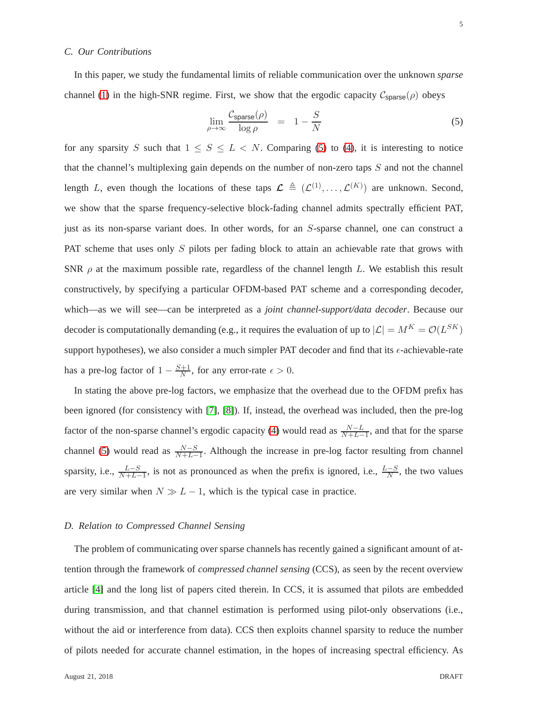## *C. Our Contributions*

In this paper, we study the fundamental limits of reliable communication over the unknown *sparse* channel [\(1\)](#page-1-1) in the high-SNR regime. First, we show that the ergodic capacity  $C_{\text{sparse}}(\rho)$  obeys

<span id="page-4-0"></span>
$$
\lim_{\rho \to \infty} \frac{\mathcal{C}_{\text{sparse}}(\rho)}{\log \rho} = 1 - \frac{S}{N} \tag{5}
$$

for any sparsity S such that  $1 \leq S \leq L < N$ . Comparing [\(5\)](#page-4-0) to [\(4\)](#page-3-3), it is interesting to notice that the channel's multiplexing gain depends on the number of non-zero taps  $S$  and not the channel length L, even though the locations of these taps  $\mathcal{L} \triangleq (\mathcal{L}^{(1)}, \dots, \mathcal{L}^{(K)})$  are unknown. Second, we show that the sparse frequency-selective block-fading channel admits spectrally efficient PAT, just as its non-sparse variant does. In other words, for an S-sparse channel, one can construct a PAT scheme that uses only S pilots per fading block to attain an achievable rate that grows with SNR  $\rho$  at the maximum possible rate, regardless of the channel length L. We establish this result constructively, by specifying a particular OFDM-based PAT scheme and a corresponding decoder, which—as we will see—can be interpreted as a *joint channel-support/data decoder*. Because our decoder is computationally demanding (e.g., it requires the evaluation of up to  $|\mathcal{L}| = M^K = \mathcal{O}(L^{SK})$ ) support hypotheses), we also consider a much simpler PAT decoder and find that its  $\epsilon$ -achievable-rate has a pre-log factor of  $1 - \frac{S+1}{N}$  $\frac{n+1}{N}$ , for any error-rate  $\epsilon > 0$ .

In stating the above pre-log factors, we emphasize that the overhead due to the OFDM prefix has been ignored (for consistency with [\[7\]](#page-28-5), [\[8\]](#page-28-6)). If, instead, the overhead was included, then the pre-log factor of the non-sparse channel's ergodic capacity [\(4\)](#page-3-3) would read as  $\frac{N-L}{N+L-1}$ , and that for the sparse channel [\(5\)](#page-4-0) would read as  $\frac{N-S}{N+L-1}$ . Although the increase in pre-log factor resulting from channel sparsity, i.e.,  $\frac{L-S}{N+L-1}$ , is not as pronounced as when the prefix is ignored, i.e.,  $\frac{L-S}{N}$ , the two values are very similar when  $N \gg L - 1$ , which is the typical case in practice.

## *D. Relation to Compressed Channel Sensing*

The problem of communicating over sparse channels has recently gained a significant amount of attention through the framework of *compressed channel sensing* (CCS), as seen by the recent overview article [\[4\]](#page-28-2) and the long list of papers cited therein. In CCS, it is assumed that pilots are embedded during transmission, and that channel estimation is performed using pilot-only observations (i.e., without the aid or interference from data). CCS then exploits channel sparsity to reduce the number of pilots needed for accurate channel estimation, in the hopes of increasing spectral efficiency. As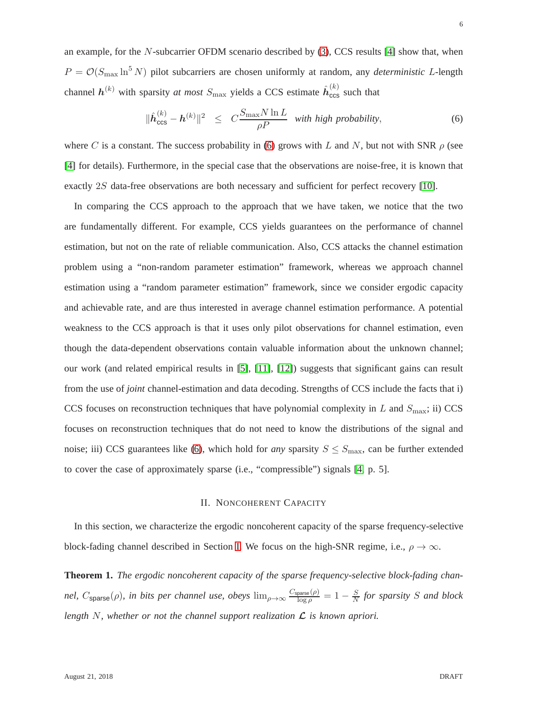an example, for the N-subcarrier OFDM scenario described by [\(3\)](#page-3-1), CCS results [\[4\]](#page-28-2) show that, when  $P = \mathcal{O}(S_{\text{max}} \ln^5 N)$  pilot subcarriers are chosen uniformly at random, any *deterministic* L-length channel  $h^{(k)}$  with sparsity *at most*  $S_{\text{max}}$  yields a CCS estimate  $\hat{h}_{\text{ccs}}^{(k)}$  such that

<span id="page-5-0"></span>
$$
\|\hat{\boldsymbol{h}}_{\text{ccs}}^{(k)} - \boldsymbol{h}^{(k)}\|^2 \leq C \frac{S_{\text{max}} N \ln L}{\rho P} \text{ with high probability}, \tag{6}
$$

where C is a constant. The success probability in [\(6\)](#page-5-0) grows with L and N, but not with SNR  $\rho$  (see [\[4\]](#page-28-2) for details). Furthermore, in the special case that the observations are noise-free, it is known that exactly 2S data-free observations are both necessary and sufficient for perfect recovery [\[10\]](#page-28-8).

In comparing the CCS approach to the approach that we have taken, we notice that the two are fundamentally different. For example, CCS yields guarantees on the performance of channel estimation, but not on the rate of reliable communication. Also, CCS attacks the channel estimation problem using a "non-random parameter estimation" framework, whereas we approach channel estimation using a "random parameter estimation" framework, since we consider ergodic capacity and achievable rate, and are thus interested in average channel estimation performance. A potential weakness to the CCS approach is that it uses only pilot observations for channel estimation, even though the data-dependent observations contain valuable information about the unknown channel; our work (and related empirical results in [\[5\]](#page-28-3), [\[11\]](#page-28-9), [\[12\]](#page-28-10)) suggests that significant gains can result from the use of *joint* channel-estimation and data decoding. Strengths of CCS include the facts that i) CCS focuses on reconstruction techniques that have polynomial complexity in  $L$  and  $S_{\text{max}}$ ; ii) CCS focuses on reconstruction techniques that do not need to know the distributions of the signal and noise; iii) CCS guarantees like [\(6\)](#page-5-0), which hold for *any* sparsity  $S \leq S_{\text{max}}$ , can be further extended to cover the case of approximately sparse (i.e., "compressible") signals [\[4,](#page-28-2) p. 5].

## II. NONCOHERENT CAPACITY

In this section, we characterize the ergodic noncoherent capacity of the sparse frequency-selective block-fading channel described in Section [I.](#page-1-2) We focus on the high-SNR regime, i.e.,  $\rho \to \infty$ .

<span id="page-5-1"></span>**Theorem 1.** *The ergodic noncoherent capacity of the sparse frequency-selective block-fading channel,*  $C_{\text{sparse}}(\rho)$ *, in bits per channel use, obeys*  $\lim_{\rho \to \infty} \frac{C_{\text{sparse}}(\rho)}{\log \rho}$  $\frac{\text{parse}(\rho)}{\log \rho} = 1 - \frac{S}{N}$  $\frac{S}{N}$  for sparsity S and block *length* N*, whether or not the channel support realization* L *is known apriori.*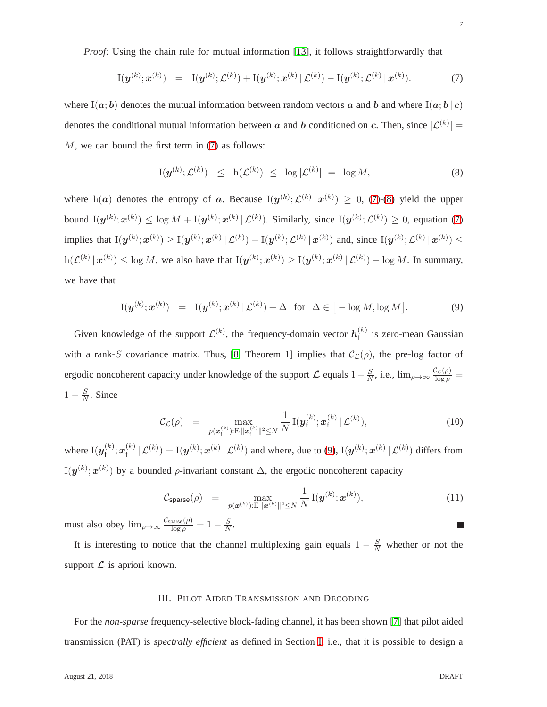*Proof:* Using the chain rule for mutual information [\[13\]](#page-28-11), it follows straightforwardly that

<span id="page-6-0"></span>
$$
I(\boldsymbol{y}^{(k)}; \boldsymbol{x}^{(k)}) = I(\boldsymbol{y}^{(k)}; \mathcal{L}^{(k)}) + I(\boldsymbol{y}^{(k)}; \boldsymbol{x}^{(k)} | \mathcal{L}^{(k)}) - I(\boldsymbol{y}^{(k)}; \mathcal{L}^{(k)} | \boldsymbol{x}^{(k)}).
$$
(7)

where I(a; b) denotes the mutual information between random vectors a and b and where I(a; b) c) denotes the conditional mutual information between  $\boldsymbol{a}$  and  $\boldsymbol{b}$  conditioned on  $\boldsymbol{c}$ . Then, since  $|\mathcal{L}^{(k)}|$  = M, we can bound the first term in [\(7\)](#page-6-0) as follows:

<span id="page-6-1"></span>
$$
I(\boldsymbol{y}^{(k)}; \mathcal{L}^{(k)}) \leq h(\mathcal{L}^{(k)}) \leq \log |\mathcal{L}^{(k)}| = \log M,
$$
\n(8)

where  $h(a)$  denotes the entropy of a. Because  $I(y^{(k)}; \mathcal{L}^{(k)} | x^{(k)}) \ge 0$ , [\(7\)](#page-6-0)-[\(8\)](#page-6-1) yield the upper bound  $I(\mathbf{y}^{(k)}; \mathbf{x}^{(k)}) \leq \log M + I(\mathbf{y}^{(k)}; \mathbf{x}^{(k)} | \mathcal{L}^{(k)})$ . Similarly, since  $I(\mathbf{y}^{(k)}; \mathcal{L}^{(k)}) \geq 0$ , equation [\(7\)](#page-6-0) implies that  $I(y^{(k)}; x^{(k)}) \ge I(y^{(k)}; x^{(k)} | \mathcal{L}^{(k)}) - I(y^{(k)}; \mathcal{L}^{(k)} | x^{(k)})$  and, since  $I(y^{(k)}; \mathcal{L}^{(k)} | x^{(k)}) \le$  $h(\mathcal{L}^{(k)} | \mathbf{x}^{(k)}) \leq \log M$ , we also have that  $I(\mathbf{y}^{(k)}; \mathbf{x}^{(k)}) \geq I(\mathbf{y}^{(k)}; \mathbf{x}^{(k)} | \mathcal{L}^{(k)}) - \log M$ . In summary, we have that

<span id="page-6-2"></span>
$$
I(\boldsymbol{y}^{(k)};\boldsymbol{x}^{(k)}) = I(\boldsymbol{y}^{(k)};\boldsymbol{x}^{(k)} | \mathcal{L}^{(k)}) + \Delta \quad \text{for} \quad \Delta \in [-\log M, \log M]. \tag{9}
$$

Given knowledge of the support  $\mathcal{L}^{(k)}$ , the frequency-domain vector  $h_f^{(k)}$  $f_f^{(k)}$  is zero-mean Gaussian with a rank-S covariance matrix. Thus, [\[8,](#page-28-6) Theorem 1] implies that  $\mathcal{C}_{\mathcal{L}}(\rho)$ , the pre-log factor of ergodic noncoherent capacity under knowledge of the support  $\mathcal L$  equals  $1 - \frac{S}{N}$ , i.e.,  $\lim_{\rho \to \infty} \frac{\mathcal{C}_{\mathcal L}(\rho)}{\log \rho} =$  $1-\frac{S}{N}$  $\frac{S}{N}$ . Since

$$
\mathcal{C}_{\mathcal{L}}(\rho) = \max_{p(\bm{x}_{\mathsf{f}}^{(k)}) : \mathbb{E} \parallel \bm{x}_{\mathsf{f}}^{(k)} \parallel^2 \leq N} \frac{1}{N} \mathbf{I}(\bm{y}_{\mathsf{f}}^{(k)}; \bm{x}_{\mathsf{f}}^{(k)} | \mathcal{L}^{(k)}), \tag{10}
$$

where  $\mathrm{I}(\boldsymbol{y}_\mathsf{f}^{(k)}$  $\boldsymbol{x}_\mathsf{f}^{(k)};\boldsymbol{x}_\mathsf{f}^{(k)}$  $f_f^{(k)} | \mathcal{L}^{(k)} = I(\bm{y}^{(k)}; \bm{x}^{(k)} | \mathcal{L}^{(k)})$  and where, due to [\(9\)](#page-6-2),  $I(\bm{y}^{(k)}; \bm{x}^{(k)} | \mathcal{L}^{(k)})$  differs from  $I(y^{(k)}; x^{(k)})$  by a bounded  $\rho$ -invariant constant  $\Delta$ , the ergodic noncoherent capacity

$$
C_{\text{sparse}}(\rho) = \max_{p(\bm{x}^{(k)}) : E \|\bm{x}^{(k)}\|^2 \leq N} \frac{1}{N} \mathbf{I}(\bm{y}^{(k)}; \bm{x}^{(k)}), \tag{11}
$$

must also obey  $\lim_{\rho \to \infty} \frac{\mathcal{C}_{\text{sparse}}(\rho)}{\log \rho} = 1 - \frac{S}{N}$  $\frac{S}{N}$ .

<span id="page-6-3"></span>It is interesting to notice that the channel multiplexing gain equals  $1 - \frac{S}{N}$  whether or not the support  $\mathcal L$  is apriori known.

## III. PILOT AIDED TRANSMISSION AND DECODING

For the *non-sparse* frequency-selective block-fading channel, it has been shown [\[7\]](#page-28-5) that pilot aided transmission (PAT) is *spectrally efficient* as defined in Section [I,](#page-1-2) i.e., that it is possible to design a

ш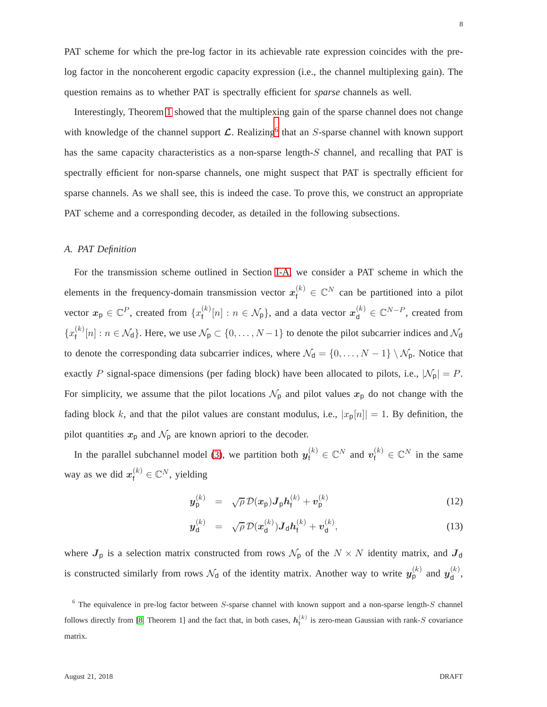PAT scheme for which the pre-log factor in its achievable rate expression coincides with the prelog factor in the noncoherent ergodic capacity expression (i.e., the channel multiplexing gain). The question remains as to whether PAT is spectrally efficient for *sparse* channels as well.

Interestingly, Theorem [1](#page-5-1) showed that the multiplexing gain of the sparse channel does not change with knowledge of the channel support  $\mathcal{L}$ . Realizing<sup>[6](#page-7-0)</sup> that an S-sparse channel with known support has the same capacity characteristics as a non-sparse length-S channel, and recalling that PAT is spectrally efficient for non-sparse channels, one might suspect that PAT is spectrally efficient for sparse channels. As we shall see, this is indeed the case. To prove this, we construct an appropriate PAT scheme and a corresponding decoder, as detailed in the following subsections.

## <span id="page-7-1"></span>*A. PAT Definition*

For the transmission scheme outlined in Section [I-A,](#page-2-3) we consider a PAT scheme in which the elements in the frequency-domain transmission vector  $x_f^{(k)} \in \mathbb{C}^N$  can be partitioned into a pilot vector  $x_{\mathsf{p}} \in \mathbb{C}^{P}$ , created from  $\{x_{\mathsf{f}}^{(k)}\}$  $f^{(k)}[n]: n \in \mathcal{N}_p$ , and a data vector  $x_d^{(k)} \in \mathbb{C}^{N-P}$ , created from  $\{x_{\mathsf{f}}^{(k)}\}$  $f_f^{(k)}[n]: n \in \mathcal{N}_d$ . Here, we use  $\mathcal{N}_p \subset \{0, \ldots, N-1\}$  to denote the pilot subcarrier indices and  $\mathcal{N}_d$ to denote the corresponding data subcarrier indices, where  $\mathcal{N}_{d} = \{0, \ldots, N-1\} \setminus \mathcal{N}_{p}$ . Notice that exactly P signal-space dimensions (per fading block) have been allocated to pilots, i.e.,  $|\mathcal{N}_p| = P$ . For simplicity, we assume that the pilot locations  $\mathcal{N}_p$  and pilot values  $x_p$  do not change with the fading block k, and that the pilot values are constant modulus, i.e.,  $|x_{p}[n]| = 1$ . By definition, the pilot quantities  $x_p$  and  $\mathcal{N}_p$  are known apriori to the decoder.

In the parallel subchannel model [\(3\)](#page-3-1), we partition both  $y_f^{(k)} \in \mathbb{C}^N$  and  $v_f^{(k)} \in \mathbb{C}^N$  in the same way as we did  $x_f^{(k)} \in \mathbb{C}^N$ , yielding

$$
\mathbf{y}_{\mathsf{p}}^{(k)} = \sqrt{\rho} \, \mathcal{D}(\mathbf{x}_{\mathsf{p}}) \mathbf{J}_{\mathsf{p}} \mathbf{h}_{\mathsf{f}}^{(k)} + \mathbf{v}_{\mathsf{p}}^{(k)} \tag{12}
$$

$$
\boldsymbol{y}_{\mathsf{d}}^{(k)} = \sqrt{\rho} \, \mathcal{D}(\boldsymbol{x}_{\mathsf{d}}^{(k)}) \boldsymbol{J}_{\mathsf{d}} \boldsymbol{h}_{\mathsf{f}}^{(k)} + \boldsymbol{v}_{\mathsf{d}}^{(k)}, \tag{13}
$$

where  $J_p$  is a selection matrix constructed from rows  $\mathcal{N}_p$  of the  $N \times N$  identity matrix, and  $J_d$ is constructed similarly from rows  $\mathcal{N}_d$  of the identity matrix. Another way to write  $y_{p}^{(k)}$  and  $y_{d}^{(k)}$  $\frac{(\kappa)}{d}$ 

<span id="page-7-0"></span> $6$  The equivalence in pre-log factor between S-sparse channel with known support and a non-sparse length-S channel follows directly from [\[8,](#page-28-6) Theorem 1] and the fact that, in both cases,  $h_f^{(k)}$  is zero-mean Gaussian with rank-S covariance matrix.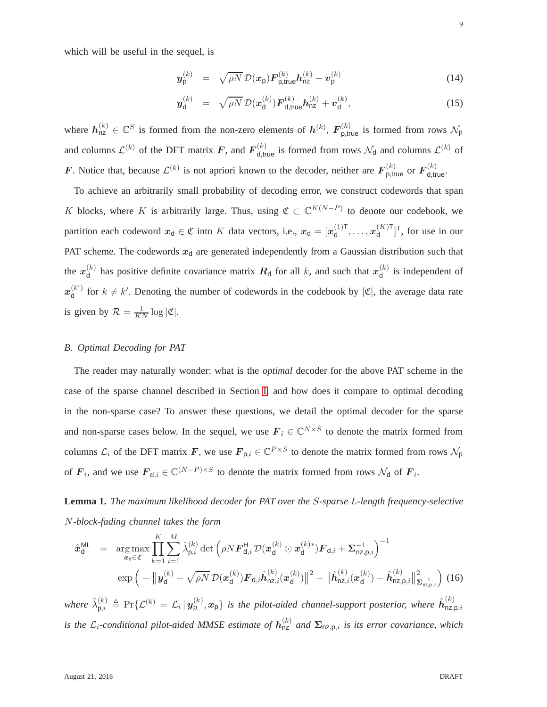which will be useful in the sequel, is

<span id="page-8-3"></span>
$$
\mathbf{y}_{\mathsf{p}}^{(k)} = \sqrt{\rho N} \, \mathcal{D}(\mathbf{x}_{\mathsf{p}}) \mathbf{F}_{\mathsf{p,true}}^{(k)} \mathbf{h}_{\mathsf{nz}}^{(k)} + \mathbf{v}_{\mathsf{p}}^{(k)}
$$
(14)

$$
\boldsymbol{y}_{\mathsf{d}}^{(k)} = \sqrt{\rho N} \, \mathcal{D}(\boldsymbol{x}_{\mathsf{d}}^{(k)}) \boldsymbol{F}_{\mathsf{d},\mathsf{true}}^{(k)} \boldsymbol{h}_{\mathsf{n}\mathsf{z}}^{(k)} + \boldsymbol{v}_{\mathsf{d}}^{(k)},\tag{15}
$$

where  $h_{nz}^{(k)} \in \mathbb{C}^S$  is formed from the non-zero elements of  $h^{(k)}$ ,  $\mathbf{F}_{p,true}^{(k)}$  is formed from rows  $\mathcal{N}_p$ and columns  $\mathcal{L}^{(k)}$  of the DFT matrix F, and  $F_{d,\text{true}}^{(k)}$  is formed from rows  $\mathcal{N}_d$  and columns  $\mathcal{L}^{(k)}$  of F. Notice that, because  $\mathcal{L}^{(k)}$  is not apriori known to the decoder, neither are  $\mathbf{F}_{\mathsf{p,true}}^{(k)}$  or  $\mathbf{F}_{\mathsf{d,true}}^{(k)}$ .

To achieve an arbitrarily small probability of decoding error, we construct codewords that span K blocks, where K is arbitrarily large. Thus, using  $\mathfrak{C} \subset \mathbb{C}^{K(N-P)}$  to denote our codebook, we partition each codeword  $x_d \in \mathfrak{C}$  into K data vectors, i.e.,  $x_d = [x_d^{(1)T}]$  $\mathbf{u}_{\mathsf{d}}^{(1)\mathsf{T}}, \ldots, \mathbf{x}_{\mathsf{d}}^{(K)\mathsf{T}}$  $\begin{bmatrix} (K) \\ d \end{bmatrix}^T$ , for use in our PAT scheme. The codewords  $x_d$  are generated independently from a Gaussian distribution such that the  $x_{d}^{(k)}$  $\mathbf{d}_{\mathsf{d}}^{(k)}$  has positive definite covariance matrix  $\mathbf{R}_{\mathsf{d}}$  for all k, and such that  $\mathbf{x}_{\mathsf{d}}^{(k)}$  $\int_{d}^{(k)}$  is independent of  $x_{\mathsf{d}}^{(k')}$  $\begin{bmatrix} k' \\ d \end{bmatrix}$  for  $k \neq k'$ . Denoting the number of codewords in the codebook by  $|\mathfrak{C}|$ , the average data rate is given by  $\mathcal{R} = \frac{1}{KN} \log |\mathfrak{C}|$ .

## <span id="page-8-2"></span>*B. Optimal Decoding for PAT*

The reader may naturally wonder: what is the *optimal* decoder for the above PAT scheme in the case of the sparse channel described in Section [I,](#page-1-2) and how does it compare to optimal decoding in the non-sparse case? To answer these questions, we detail the optimal decoder for the sparse and non-sparse cases below. In the sequel, we use  $\mathbf{F}_i \in \mathbb{C}^{N \times S}$  to denote the matrix formed from columns  $\mathcal{L}_i$  of the DFT matrix  $F$ , we use  $F_{p,i} \in \mathbb{C}^{P \times S}$  to denote the matrix formed from rows  $\mathcal{N}_p$ of  $\mathbf{F}_i$ , and we use  $\mathbf{F}_{d,i} \in \mathbb{C}^{(N-P) \times S}$  to denote the matrix formed from rows  $\mathcal{N}_d$  of  $\mathbf{F}_i$ .

<span id="page-8-0"></span>**Lemma 1.** *The maximum likelihood decoder for PAT over the* S*-sparse* L*-length frequency-selective* N*-block-fading channel takes the form*

<span id="page-8-1"></span>
$$
\hat{\mathbf{x}}_{d}^{\text{ML}} = \arg \max_{\mathbf{x}_{d} \in \mathfrak{C}} \prod_{k=1}^{K} \sum_{i=1}^{M} \hat{\lambda}_{p,i}^{(k)} \det \left( \rho N \mathbf{F}_{d,i}^{H} \mathcal{D}(\mathbf{x}_{d}^{(k)} \odot \mathbf{x}_{d}^{(k)*}) \mathbf{F}_{d,i} + \mathbf{\Sigma}_{n\mathbf{Z},p,i}^{-1} \right)^{-1} \exp \left( -\left\| \mathbf{y}_{d}^{(k)} - \sqrt{\rho N} \mathcal{D}(\mathbf{x}_{d}^{(k)}) \mathbf{F}_{d,i} \hat{\mathbf{h}}_{n\mathbf{Z},i}^{(k)} (\mathbf{x}_{d}^{(k)}) \right\|^{2} - \left\| \hat{\mathbf{h}}_{n\mathbf{Z},i}^{(k)} (\mathbf{x}_{d}^{(k)}) - \hat{\mathbf{h}}_{n\mathbf{Z},p,i}^{(k)} \right\|_{\mathbf{\Sigma}_{n\mathbf{Z},p,i}^{-1}}^{2} \right)
$$
(16)

 $where\,\,\hat{\lambda}_{p,i}^{(k)}\triangleq \Pr\{\mathcal{L}^{(k)}=\mathcal{L}_i\,|\,\pmb{y_p^{(k)}},\pmb{x_p}\}$  is the pilot-aided channel-support posterior, where  $\hat{\pmb{h}}_{\textsf{nz},\textsf{l}}^{(k)}$  $nz,p,i$ *is the L*<sub>i</sub>-conditional pilot-aided MMSE estimate of  $h_{nz}^{(k)}$  and  $\Sigma_{nz,p,i}$  is its error covariance, which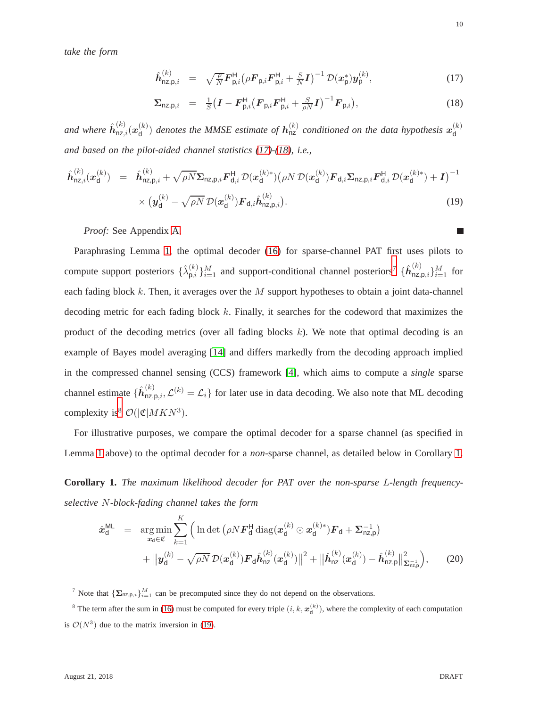*take the form*

<span id="page-9-1"></span>
$$
\hat{\boldsymbol{h}}_{\mathsf{nz},\mathsf{p},i}^{(k)} = \sqrt{\frac{\rho}{N}} \boldsymbol{F}_{\mathsf{p},i}^{\mathsf{H}} \big(\rho \boldsymbol{F}_{\mathsf{p},i} \boldsymbol{F}_{\mathsf{p},i}^{\mathsf{H}} + \frac{S}{N} \boldsymbol{I}\big)^{-1} \mathcal{D}(\boldsymbol{x}_{\mathsf{p}}^{*}) \boldsymbol{y}_{\mathsf{p}}^{(k)},\tag{17}
$$

$$
\Sigma_{\text{nz},\text{p},i} = \frac{1}{S} \big( \mathbf{I} - \mathbf{F}_{\text{p},i}^{\text{H}} \big( \mathbf{F}_{\text{p},i} \mathbf{F}_{\text{p},i}^{\text{H}} + \frac{S}{\rho N} \mathbf{I} \big)^{-1} \mathbf{F}_{\text{p},i} \big), \tag{18}
$$

and where  $\hat{\bm{h}}_{\mathsf{nz},i}^{(k)}(\bm{x}_{\mathsf{d}}^{(k)})$  $\binom{(k)}{\mathsf{d}}$  denotes the MMSE estimate of  $\mathbf{h}_{\textsf{nz}}^{(k)}$  conditioned on the data hypothesis  $\mathbf{x}_{\textsf{d}}^{(k)}$ d *and based on the pilot-aided channel statistics [\(17\)](#page-9-1)-[\(18\)](#page-9-1), i.e.,*

<span id="page-9-4"></span>
$$
\hat{\boldsymbol{h}}_{\text{nz},i}^{(k)}(\boldsymbol{x}_{\text{d}}^{(k)}) = \hat{\boldsymbol{h}}_{\text{nz},\text{p},i}^{(k)} + \sqrt{\rho N} \Sigma_{\text{nz},\text{p},i} \boldsymbol{F}_{\text{d},i}^{H} \mathcal{D}(\boldsymbol{x}_{\text{d}}^{(k)*}) (\rho N \mathcal{D}(\boldsymbol{x}_{\text{d}}^{(k)}) \boldsymbol{F}_{\text{d},i} \Sigma_{\text{nz},\text{p},i} \boldsymbol{F}_{\text{d},i}^{H} \mathcal{D}(\boldsymbol{x}_{\text{d}}^{(k)*}) + \boldsymbol{I})^{-1} \times (\boldsymbol{y}_{\text{d}}^{(k)} - \sqrt{\rho N} \mathcal{D}(\boldsymbol{x}_{\text{d}}^{(k)}) \boldsymbol{F}_{\text{d},i} \hat{\boldsymbol{h}}_{\text{nz},\text{p},i}^{(k)}).
$$
\n(19)

*Proof:* See Appendix [A.](#page-25-0)

Paraphrasing Lemma [1,](#page-8-0) the optimal decoder [\(16\)](#page-8-1) for sparse-channel PAT first uses pilots to compute support posteriors  $\{\hat{\lambda}_{\mathsf{p},i}^{(k)}\}$  $\{(\mathbf{k})\}_{i=1}^M$  and support-conditional channel posteriors<sup>[7](#page-9-2)</sup>  $\{\hat{\mathbf{h}}_{\text{nz},\text{p},i}^{(k)}\}_{i=1}^M$  for each fading block  $k$ . Then, it averages over the  $M$  support hypotheses to obtain a joint data-channel decoding metric for each fading block  $k$ . Finally, it searches for the codeword that maximizes the product of the decoding metrics (over all fading blocks  $k$ ). We note that optimal decoding is an example of Bayes model averaging [\[14\]](#page-28-12) and differs markedly from the decoding approach implied in the compressed channel sensing (CCS) framework [\[4\]](#page-28-2), which aims to compute a *single* sparse channel estimate  $\{\hat{h}_{nz,p,i}^{(k)}, \mathcal{L}^{(k)} = \mathcal{L}_i\}$  for later use in data decoding. We also note that ML decoding complexity is<sup>[8](#page-9-3)</sup>  $\mathcal{O}(|\mathfrak{C}|MKN^3)$ .

For illustrative purposes, we compare the optimal decoder for a sparse channel (as specified in Lemma [1](#page-8-0) above) to the optimal decoder for a *non*-sparse channel, as detailed below in Corollary [1.](#page-9-0)

<span id="page-9-0"></span>**Corollary 1.** *The maximum likelihood decoder for PAT over the non-sparse* L*-length frequencyselective* N*-block-fading channel takes the form*

$$
\hat{\boldsymbol{x}}_{\mathsf{d}}^{\mathsf{ML}} = \underset{\boldsymbol{x}_{\mathsf{d}} \in \mathfrak{C}}{\arg \min} \sum_{k=1}^{K} \Big( \ln \det \big( \rho N \boldsymbol{F}_{\mathsf{d}}^{\mathsf{H}} \operatorname{diag}(\boldsymbol{x}_{\mathsf{d}}^{(k)} \odot \boldsymbol{x}_{\mathsf{d}}^{(k)*}) \boldsymbol{F}_{\mathsf{d}} + \boldsymbol{\Sigma}_{\mathsf{nz},\mathsf{p}}^{-1} \Big) + \left\| \boldsymbol{y}_{\mathsf{d}}^{(k)} - \sqrt{\rho N} \mathcal{D}(\boldsymbol{x}_{\mathsf{d}}^{(k)}) \boldsymbol{F}_{\mathsf{d}} \hat{\boldsymbol{h}}_{\mathsf{nz}}^{(k)} (\boldsymbol{x}_{\mathsf{d}}^{(k)}) \right\|^{2} + \left\| \hat{\boldsymbol{h}}_{\mathsf{nz}}^{(k)} (\boldsymbol{x}_{\mathsf{d}}^{(k)}) - \hat{\boldsymbol{h}}_{\mathsf{nz},\mathsf{p}}^{(k)} \right\|_{\boldsymbol{\Sigma}_{\mathsf{nz},\mathsf{p}}^{-1}}^{2} \Big), \qquad (20)
$$

<span id="page-9-2"></span><sup>7</sup> Note that  $\{\Sigma_{nz,p,i}\}_{i=1}^M$  can be precomputed since they do not depend on the observations.

<span id="page-9-3"></span><sup>8</sup> The term after the sum in [\(16\)](#page-8-1) must be computed for every triple  $(i, k, x_d^{(k)})$ , where the complexity of each computation is  $\mathcal{O}(N^3)$  due to the matrix inversion in [\(19\)](#page-9-4).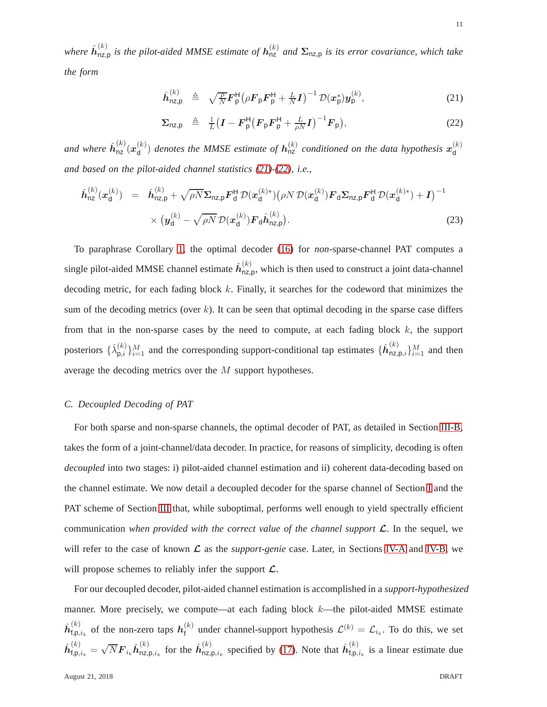where  $\hat{h}^{(k)}_{\text{nz},\text{p}}$  is the pilot-aided MMSE estimate of  $h^{(k)}_{\text{nz}}$  and  $\Sigma_{\text{nz},\text{p}}$  is its error covariance, which take *the form*

<span id="page-10-0"></span>
$$
\hat{\boldsymbol{h}}_{\mathsf{nz},\mathsf{p}}^{(k)} \triangleq \sqrt{\frac{\rho}{N}} \boldsymbol{F}_{\mathsf{p}}^{\mathsf{H}} \big( \rho \boldsymbol{F}_{\mathsf{p}} \boldsymbol{F}_{\mathsf{p}}^{\mathsf{H}} + \frac{L}{N} \boldsymbol{I} \big)^{-1} \mathcal{D}(\boldsymbol{x}_{\mathsf{p}}^{*}) \boldsymbol{y}_{\mathsf{p}}^{(k)}, \tag{21}
$$

$$
\Sigma_{\text{nz,p}} \triangleq \frac{1}{L} \left( \boldsymbol{I} - \boldsymbol{F}_{\text{p}}^{\text{H}} \left( \boldsymbol{F}_{\text{p}} \boldsymbol{F}_{\text{p}}^{\text{H}} + \frac{L}{\rho N} \boldsymbol{I} \right)^{-1} \boldsymbol{F}_{\text{p}} \right), \tag{22}
$$

and where  $\hat{\bm{h}}_{\textsf{nz}}^{(k)}(\bm{x}_{\textsf{d}}^{(k)}$  $\binom{(k)}{\mathsf{d}}$  denotes the MMSE estimate of  $\mathbf{h}^{(k)}_{\mathsf{nz}}$  conditioned on the data hypothesis  $\mathbf{x}^{(k)}_{\mathsf{d}}$ d *and based on the pilot-aided channel statistics [\(21\)](#page-10-0)-[\(22\)](#page-10-0), i.e.,*

$$
\hat{\boldsymbol{h}}_{\text{nz}}^{(k)}(\boldsymbol{x}_{\text{d}}^{(k)}) = \hat{\boldsymbol{h}}_{\text{nz,p}}^{(k)} + \sqrt{\rho N} \Sigma_{\text{nz,p}} \boldsymbol{F}_{\text{d}}^{\text{H}} \mathcal{D}(\boldsymbol{x}_{\text{d}}^{(k)*}) (\rho N \mathcal{D}(\boldsymbol{x}_{\text{d}}^{(k)}) \boldsymbol{F}_{\text{d}} \Sigma_{\text{nz,p}} \boldsymbol{F}_{\text{d}}^{\text{H}} \mathcal{D}(\boldsymbol{x}_{\text{d}}^{(k)*}) + \boldsymbol{I})^{-1} \times (\boldsymbol{y}_{\text{d}}^{(k)} - \sqrt{\rho N} \mathcal{D}(\boldsymbol{x}_{\text{d}}^{(k)}) \boldsymbol{F}_{\text{d}} \hat{\boldsymbol{h}}_{\text{nz,p}}^{(k)}).
$$
\n(23)

To paraphrase Corollary [1,](#page-9-0) the optimal decoder [\(16\)](#page-8-1) for *non*-sparse-channel PAT computes a single pilot-aided MMSE channel estimate  $\hat{h}_{\text{nz},p}^{(k)}$ , which is then used to construct a joint data-channel decoding metric, for each fading block  $k$ . Finally, it searches for the codeword that minimizes the sum of the decoding metrics (over  $k$ ). It can be seen that optimal decoding in the sparse case differs from that in the non-sparse cases by the need to compute, at each fading block  $k$ , the support posteriors  $\{ \hat{\lambda}^{(k)}_{\mathsf{p},i}$  $\{(\mathbf{k})\}_{i=1}^M$  and the corresponding support-conditional tap estimates  $\{\hat{h}_{nz,p,i}^{(k)}\}_{i=1}^M$  and then average the decoding metrics over the M support hypotheses.

## <span id="page-10-1"></span>*C. Decoupled Decoding of PAT*

For both sparse and non-sparse channels, the optimal decoder of PAT, as detailed in Section [III-B,](#page-8-2) takes the form of a joint-channel/data decoder. In practice, for reasons of simplicity, decoding is often *decoupled* into two stages: i) pilot-aided channel estimation and ii) coherent data-decoding based on the channel estimate. We now detail a decoupled decoder for the sparse channel of Section [I](#page-1-2) and the PAT scheme of Section [III](#page-6-3) that, while suboptimal, performs well enough to yield spectrally efficient communication *when provided with the correct value of the channel support* L. In the sequel, we will refer to the case of known  $\mathcal L$  as the *support-genie* case. Later, in Sections [IV-A](#page-15-0) and [IV-B,](#page-19-0) we will propose schemes to reliably infer the support  $\mathcal{L}$ .

For our decoupled decoder, pilot-aided channel estimation is accomplished in a *support-hypothesized* manner. More precisely, we compute—at each fading block  $k$ —the pilot-aided MMSE estimate  $\hat{\boldsymbol{h}}^{(k)}_{\text{f.p.}}$  $f_{\mathsf{f},\mathsf{p},i_k}^{(k)}$  of the non-zero taps  $\mathbf{h}_{\mathsf{f}}^{(k)}$  $\mathcal{L}_{\mathsf{f}}^{(k)}$  under channel-support hypothesis  $\mathcal{L}^{(k)} = \mathcal{L}_{i_k}$ . To do this, we set  $\hat{\boldsymbol{h}}_{\text{f},\text{p},i_k}^{\left(k\right)}=\sqrt{N}\boldsymbol{F}_{i_k}\hat{\boldsymbol{h}}_{\text{nz},\text{l}}^{\left(k\right)}$  ${}^{(k)}_{\textsf{nz},\textsf{p},i_k}$  for the  $\hat{\boldsymbol{h}}^{(k)}_{\textsf{nz},k}$  $\binom{k}{nz,p,i_k}$  specified by [\(17\)](#page-9-1). Note that  $\hat{h}^{(k)}_{f,p,k}$  $f_{\text{f},p,i_k}^{(n)}$  is a linear estimate due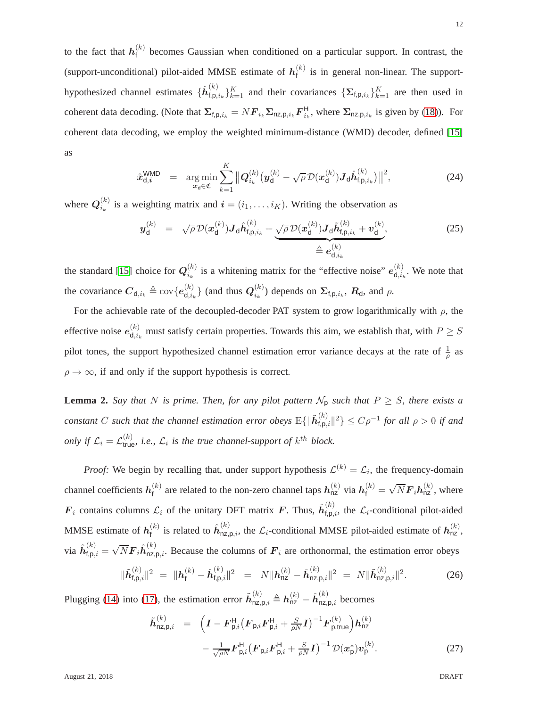to the fact that  $h_{\text{f}}^{(k)}$  $f_f^{(k)}$  becomes Gaussian when conditioned on a particular support. In contrast, the (support-unconditional) pilot-aided MMSE estimate of  $h_f^{(k)}$  $f_f^{(k)}$  is in general non-linear. The supporthypothesized channel estimates  $\{\hat{\bm{h}}_{\text{f,p},}^{(k)}\}$  $\{f_{t,p,i_k}\}_{k=1}^K$  and their covariances  $\{\sum_{t,p,i_k}\}_{k=1}^K$  are then used in coherent data decoding. (Note that  $\Sigma_{f,p,i_k} = NF_{i_k} \Sigma_{nz,p,i_k} F_{i_k}^H$ , where  $\Sigma_{nz,p,i_k}$  is given by [\(18\)](#page-9-1)). For coherent data decoding, we employ the weighted minimum-distance (WMD) decoder, defined [\[15\]](#page-28-13) as

<span id="page-11-2"></span>
$$
\hat{\boldsymbol{x}}_{\mathsf{d},i}^{\mathsf{WMD}} = \argmin_{\boldsymbol{x}_{\mathsf{d}} \in \mathfrak{C}} \sum_{k=1}^{K} \big\| \boldsymbol{Q}_{i_k}^{(k)} (\boldsymbol{y}_{\mathsf{d}}^{(k)} - \sqrt{\rho} \, \mathcal{D}(\boldsymbol{x}_{\mathsf{d}}^{(k)}) \boldsymbol{J}_{\mathsf{d}} \hat{\boldsymbol{h}}_{\mathsf{f},\mathsf{p},i_k}^{(k)}) \big\|^2, \tag{24}
$$

where  $Q_{i_k}^{(k)}$  $i_k^{(k)}$  is a weighting matrix and  $\mathbf{i} = (i_1, \ldots, i_K)$ . Writing the observation as

<span id="page-11-1"></span>
$$
\boldsymbol{y}_{\mathsf{d}}^{(k)} = \sqrt{\rho} \mathcal{D}(\boldsymbol{x}_{\mathsf{d}}^{(k)}) \boldsymbol{J}_{\mathsf{d}} \hat{\boldsymbol{h}}_{\mathsf{f},\mathsf{p},i_k}^{(k)} + \underbrace{\sqrt{\rho} \mathcal{D}(\boldsymbol{x}_{\mathsf{d}}^{(k)}) \boldsymbol{J}_{\mathsf{d}} \tilde{\boldsymbol{h}}_{\mathsf{f},\mathsf{p},i_k}^{(k)} + \boldsymbol{v}_{\mathsf{d}}^{(k)}}_{\triangleq \boldsymbol{e}_{\mathsf{d},i_k}^{(k)}}
$$
(25)

the standard [\[15\]](#page-28-13) choice for  $Q_i^{(k)}$  $i_k^{(k)}$  is a whitening matrix for the "effective noise"  $e_{d,i_k}^{(k)}$  $\mathbf{d}_{i,k}^{(k)}$ . We note that the covariance  $C_{d,i_k} \triangleq \text{cov}\{e_{d,i}^{(k)}\}$  $\mathsf{d}_{\mathsf{d},i_k}^{(k)}\}$  (and thus  $\boldsymbol{Q}^{(k)}_{i_k}$  $\binom{k}{i_k}$  depends on  $\Sigma_{\text{f,p},i_k}$ ,  $R_{\text{d}}$ , and  $\rho$ .

For the achievable rate of the decoupled-decoder PAT system to grow logarithmically with  $\rho$ , the effective noise  $e_{d,i}^{(k)}$  $\mathcal{L}_{d,i_k}^{(\kappa)}$  must satisfy certain properties. Towards this aim, we establish that, with  $P \geq S$ pilot tones, the support hypothesized channel estimation error variance decays at the rate of  $\frac{1}{\rho}$  as  $\rho \rightarrow \infty$ , if and only if the support hypothesis is correct.

<span id="page-11-0"></span>**Lemma 2.** *Say that* N *is prime. Then, for any pilot pattern*  $\mathcal{N}_p$  *such that*  $P \geq S$ *, there exists a constant* C such that the channel estimation error obeys  $E\{\|\tilde{\bm{h}}_{\text{t,p}}^{(k)}\}$  $\{f_{\text{f},\text{p},i}\}$ <sup>2</sup> ≥  $C\rho^{-1}$  for all  $\rho > 0$  if and *only if*  $\mathcal{L}_i = \mathcal{L}_{true}^{(k)}$ , *i.e.*,  $\mathcal{L}_i$  *is the true channel-support of*  $k^{th}$  *block.* 

*Proof:* We begin by recalling that, under support hypothesis  $\mathcal{L}^{(k)} = \mathcal{L}_i$ , the frequency-domain channel coefficients  $h_{\text{f}}^{(k)}$  $f_t^{(k)}$  are related to the non-zero channel taps  $h_{nz}^{(k)}$  via  $h_f^{(k)} = \sqrt{N} F_i h_{nz}^{(k)}$ , where  $\mathbf{F}_i$  contains columns  $\mathcal{L}_i$  of the unitary DFT matrix  $\mathbf{F}$ . Thus,  $\hat{h}_{\text{f},p,i}^{(k)}$ , the  $\mathcal{L}_i$ -conditional pilot-aided MMSE estimate of  $h_{\text{f}}^{(k)}$  $f_t^{(k)}$  is related to  $\hat{h}_{nz,p,i}^{(k)}$ , the  $\mathcal{L}_i$ -conditional MMSE pilot-aided estimate of  $h_{nz}^{(k)}$ , via  $\hat{h}^{(k)}_{\text{f},\text{p},i} = \sqrt{N} \hat{F}_i \hat{h}^{(k)}_{\text{nz},\text{p},i}$ . Because the columns of  $F_i$  are orthonormal, the estimation error obeys

$$
\|\tilde{\boldsymbol{h}}_{\text{f,p},i}^{(k)}\|^2 = \|\boldsymbol{h}_{\text{f}}^{(k)} - \hat{\boldsymbol{h}}_{\text{f,p},i}^{(k)}\|^2 = N\|\boldsymbol{h}_{\text{nz}}^{(k)} - \hat{\boldsymbol{h}}_{\text{nz,p},i}^{(k)}\|^2 = N\|\tilde{\boldsymbol{h}}_{\text{nz,p},i}^{(k)}\|^2.
$$
 (26)

Plugging [\(14\)](#page-8-3) into [\(17\)](#page-9-1), the estimation error  $\tilde{h}_{nz,p,i}^{(k)} \triangleq h_{nz}^{(k)} - \hat{h}_{nz,p,i}^{(k)}$  becomes

$$
\tilde{h}_{\text{nz},\text{p},i}^{(k)} = \left( I - F_{\text{p},i}^{H} (F_{\text{p},i} F_{\text{p},i}^{H} + \frac{S}{\rho N} I)^{-1} F_{\text{p,true}}^{(k)} \right) h_{\text{nz}}^{(k)} \n- \frac{1}{\sqrt{\rho N}} F_{\text{p},i}^{H} (F_{\text{p},i} F_{\text{p},i}^{H} + \frac{S}{\rho N} I)^{-1} \mathcal{D}(x_{\text{p}}^{*}) v_{\text{p}}^{(k)}.
$$
\n(27)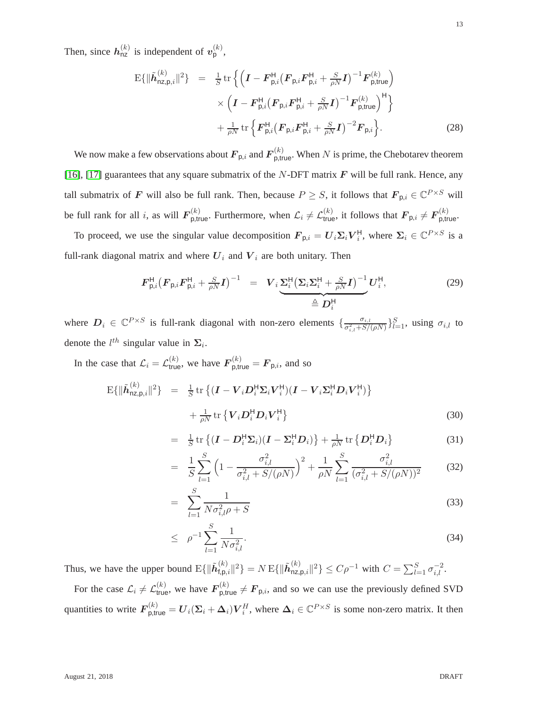Then, since  $h_{\text{nz}}^{(k)}$  is independent of  $v_{\text{p}}^{(k)}$ ,

$$
E\{\|\tilde{h}_{nz,p,i}^{(k)}\|^2\} = \frac{1}{S} \text{tr} \left\{ \left( \boldsymbol{I} - \boldsymbol{F}_{p,i}^{\mathsf{H}} (\boldsymbol{F}_{p,i} \boldsymbol{F}_{p,i}^{\mathsf{H}} + \frac{S}{\rho N} \boldsymbol{I})^{-1} \boldsymbol{F}_{p,\text{true}}^{(k)} \right) \times \left( \boldsymbol{I} - \boldsymbol{F}_{p,i}^{\mathsf{H}} (\boldsymbol{F}_{p,i} \boldsymbol{F}_{p,i}^{\mathsf{H}} + \frac{S}{\rho N} \boldsymbol{I})^{-1} \boldsymbol{F}_{p,\text{true}}^{(k)} \right)^{\mathsf{H}} \right\} + \frac{1}{\rho N} \text{tr} \left\{ \boldsymbol{F}_{p,i}^{\mathsf{H}} (\boldsymbol{F}_{p,i} \boldsymbol{F}_{p,i}^{\mathsf{H}} + \frac{S}{\rho N} \boldsymbol{I})^{-2} \boldsymbol{F}_{p,i} \right\}.
$$
 (28)

We now make a few observations about  $F_{\mathsf{p},i}$  and  $F_{\mathsf{p,true}}^{(k)}$ . When  $N$  is prime, the Chebotarev theorem [\[16\]](#page-28-14), [\[17\]](#page-28-15) guarantees that any square submatrix of the N-DFT matrix  $\bm{F}$  will be full rank. Hence, any tall submatrix of F will also be full rank. Then, because  $P \geq S$ , it follows that  $F_{p,i} \in \mathbb{C}^{P \times S}$  will be full rank for all i, as will  $F_{p,\text{true}}^{(k)}$ . Furthermore, when  $\mathcal{L}_i \neq \mathcal{L}_{\text{true}}^{(k)}$ , it follows that  $F_{p,i} \neq F_{p,\text{true}}^{(k)}$ .

To proceed, we use the singular value decomposition  $F_{p,i} = U_i \Sigma_i V_i^{\mathsf{H}}$ , where  $\Sigma_i \in \mathbb{C}^{P \times S}$  is a full-rank diagonal matrix and where  $U_i$  and  $V_i$  are both unitary. Then

$$
F_{\mathsf{p},i}^{\mathsf{H}} \big(F_{\mathsf{p},i} F_{\mathsf{p},i}^{\mathsf{H}} + \frac{S}{\rho N} I \big)^{-1} = V_i \underbrace{\Sigma_i^{\mathsf{H}} \big(\Sigma_i \Sigma_i^{\mathsf{H}} + \frac{S}{\rho N} I \big)^{-1}}_{\triangleq D_i^{\mathsf{H}}} U_i^{\mathsf{H}},\tag{29}
$$

where  $D_i \in \mathbb{C}^{P \times S}$  is full-rank diagonal with non-zero elements  $\{\frac{\sigma_{i,l}}{\sigma_{i,l}^2 + S'}\}$  $\frac{\sigma_{i,l}}{\sigma_{i,l}^2 + S/(\rho N)}\}_{l=1}^S$ , using  $\sigma_{i,l}$  to denote the  $l^{th}$  singular value in  $\Sigma_i$ .

In the case that  $\mathcal{L}_i = \mathcal{L}_{\text{true}}^{(k)}$ , we have  $\mathbf{F}_{\text{p,true}}^{(k)} = \mathbf{F}_{\text{p},i}$ , and so

$$
\mathbf{E}\{\|\tilde{\boldsymbol{h}}_{\text{nz},\text{p},i}^{(k)}\|^2\} = \frac{1}{S} \text{tr}\left\{(\boldsymbol{I} - \boldsymbol{V}_i \boldsymbol{D}_i^{\text{H}} \boldsymbol{\Sigma}_i \boldsymbol{V}_i^{\text{H}})(\boldsymbol{I} - \boldsymbol{V}_i \boldsymbol{\Sigma}_i^{\text{H}} \boldsymbol{D}_i \boldsymbol{V}_i^{\text{H}})\right\} + \frac{1}{\rho N} \text{tr}\left\{\boldsymbol{V}_i \boldsymbol{D}_i^{\text{H}} \boldsymbol{D}_i \boldsymbol{V}_i^{\text{H}}\right\}
$$
(30)

$$
= \frac{1}{S} \operatorname{tr} \left\{ (\boldsymbol{I} - \boldsymbol{D}_i^{\mathsf{H}} \boldsymbol{\Sigma}_i) (\boldsymbol{I} - \boldsymbol{\Sigma}_i^{\mathsf{H}} \boldsymbol{D}_i) \right\} + \frac{1}{\rho N} \operatorname{tr} \left\{ \boldsymbol{D}_i^{\mathsf{H}} \boldsymbol{D}_i \right\} \tag{31}
$$

$$
= \frac{1}{S} \sum_{l=1}^{S} \left( 1 - \frac{\sigma_{i,l}^2}{\sigma_{i,l}^2 + S/(\rho N)} \right)^2 + \frac{1}{\rho N} \sum_{l=1}^{S} \frac{\sigma_{i,l}^2}{(\sigma_{i,l}^2 + S/(\rho N))^2}
$$
(32)

$$
= \sum_{l=1}^{S} \frac{1}{N\sigma_{i,l}^2 \rho + S} \tag{33}
$$

$$
\leq \rho^{-1} \sum_{l=1}^{S} \frac{1}{N \sigma_{i,l}^2}.
$$
\n(34)

Thus, we have the upper bound  $\mathrm{E}\{\|\tilde{\bm{h}}_{\text{f,p},}^{(k)}\|$  $_{\textsf{f,p},i}^{(k)}\Vert^{2}\} = N\,\mathrm{E}\{\Vert\tilde{\bm{h}}_{\textsf{nz},i}^{(k)}\Vert$  $\sum_{n=1}^{(k)} \sigma_{i,i}^{2} \|^{2} \} \leq C \rho^{-1}$  with  $C = \sum_{l=1}^{S} \sigma_{i,l}^{-2}$ .

For the case  $\mathcal{L}_i \neq \mathcal{L}_{\text{true}}^{(k)}$ , we have  $\mathbf{F}_{\text{p,true}}^{(k)} \neq \mathbf{F}_{\text{p},i}$ , and so we can use the previously defined SVD quantities to write  $\bm{F}_{\text{p,true}}^{(k)} = \bm{U}_i(\bm{\Sigma}_i+\bm{\Delta}_i)\bm{V}_i^H$ , where  $\bm{\Delta}_i \in \mathbb{C}^{P \times S}$  is some non-zero matrix. It then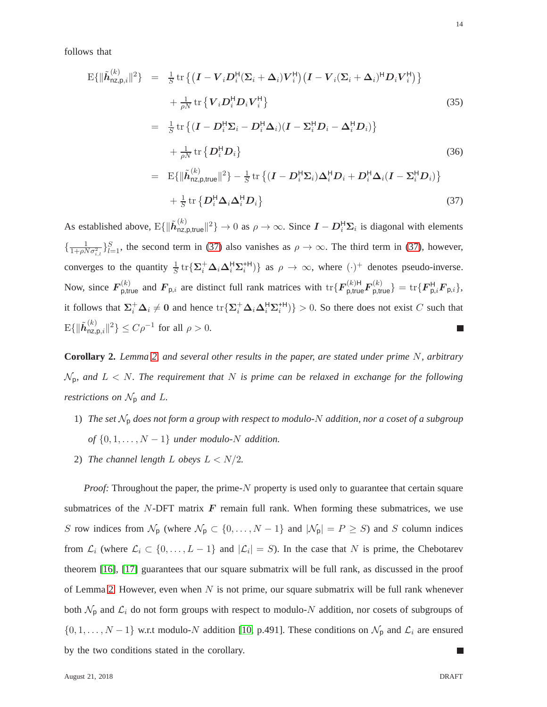follows that

<span id="page-13-0"></span>
$$
E\{\|\tilde{h}_{nz,p,i}^{(k)}\|^2\} = \frac{1}{S} tr \{(\boldsymbol{I} - \boldsymbol{V}_i \boldsymbol{D}_i^{\mathsf{H}} (\boldsymbol{\Sigma}_i + \boldsymbol{\Delta}_i) \boldsymbol{V}_i^{\mathsf{H}}) (\boldsymbol{I} - \boldsymbol{V}_i (\boldsymbol{\Sigma}_i + \boldsymbol{\Delta}_i)^{\mathsf{H}} \boldsymbol{D}_i \boldsymbol{V}_i^{\mathsf{H}})\} + \frac{1}{\rho N} tr \{ \boldsymbol{V}_i \boldsymbol{D}_i^{\mathsf{H}} \boldsymbol{D}_i \boldsymbol{V}_i^{\mathsf{H}} \} \qquad (35) = \frac{1}{S} tr \{ (\boldsymbol{I} - \boldsymbol{D}_i^{\mathsf{H}} \boldsymbol{\Sigma}_i - \boldsymbol{D}_i^{\mathsf{H}} \boldsymbol{\Delta}_i) (\boldsymbol{I} - \boldsymbol{\Sigma}_i^{\mathsf{H}} \boldsymbol{D}_i - \boldsymbol{\Delta}_i^{\mathsf{H}} \boldsymbol{D}_i) \} + \frac{1}{\rho N} tr \{ \boldsymbol{D}_i^{\mathsf{H}} \boldsymbol{D}_i \} \qquad (36) = E\{\|\tilde{h}_{nz,p,true}^{(k)}\|^2\} - \frac{1}{S} tr \{ (\boldsymbol{I} - \boldsymbol{D}_i^{\mathsf{H}} \boldsymbol{\Sigma}_i) \boldsymbol{\Delta}_i^{\mathsf{H}} \boldsymbol{D}_i + \boldsymbol{D}_i^{\mathsf{H}} \boldsymbol{\Delta}_i (\boldsymbol{I} - \boldsymbol{\Sigma}_i^{\mathsf{H}} \boldsymbol{D}_i) \} + \frac{1}{S} tr \{ \boldsymbol{D}_i^{\mathsf{H}} \boldsymbol{\Delta}_i \boldsymbol{\Delta}_i^{\mathsf{H}} \boldsymbol{D}_i \} \qquad (37)
$$

As established above,  $E\{\|\tilde{\boldsymbol{h}}_{\text{nz},\text{l}}^{(k)}\}$  $\lim_{n \to \infty} \|u\|^2$   $\to 0$  as  $\rho \to \infty$ . Since  $\mathbf{I} - \mathbf{D}_i^{\mathsf{H}} \Sigma_i$  is diagonal with elements  $\{\frac{1}{1+\rho N\sigma_{i,l}^2}\}_{l=1}^S$ , the second term in [\(37\)](#page-13-0) also vanishes as  $\rho \to \infty$ . The third term in [\(37\)](#page-13-0), however, converges to the quantity  $\frac{1}{S}$  tr $\{\Sigma_i^+ \Delta_i \Delta_i^H \Sigma_i^{H} \}$  as  $\rho \to \infty$ , where  $(\cdot)^+$  denotes pseudo-inverse. Now, since  $\mathbf{F}_{\mathsf{p},\mathsf{true}}^{(k)}$  and  $\mathbf{F}_{\mathsf{p},i}$  are distinct full rank matrices with  $\text{tr}\{\mathbf{F}_{\mathsf{p},\mathsf{true}}^{(k)}\mathbf{F}_{\mathsf{p},\mathsf{true}}^{(k)}\} = \text{tr}\{\mathbf{F}_{\mathsf{p},i}^{H}\mathbf{F}_{\mathsf{p},i}\},\$ it follows that  $\Sigma_i^+ \Delta_i \neq 0$  and hence  $\text{tr}\{\Sigma_i^+ \Delta_i \Delta_i^{\text{H}} \Sigma_i^{\text{H}}\}\} > 0$ . So there does not exist C such that  $\mathrm{E}\{\|\tilde{\bm{h}}_{\mathsf{nz},\mathsf{I}}^{(k)}% (\bm{h}(\mathsf{z},\mathsf{z})\cdot\mathsf{z},\mathsf{z},\mathsf{z},\mathsf{z},\mathsf{z},\mathsf{z},\mathsf{z},\mathsf{z},\mathsf{z},\mathsf{z},\mathsf{z},\mathsf{z},\mathsf{z},\mathsf{z},\mathsf{z},\mathsf{z},\mathsf{z},\mathsf{z},\mathsf{z},\mathsf{z},\mathsf{z},\mathsf{z},\mathsf{z},\mathsf{z},\mathsf{z},\mathsf{z},\mathsf{z},\mathsf{z},\$  $\sum_{n \geq p, i}^{\lceil k \rceil} \lceil k^2 \rceil \leq C \rho^{-1}$  for all  $\rho > 0$ . П

**Corollary 2.** *Lemma [2,](#page-11-0) and several other results in the paper, are stated under prime* N*, arbitrary* Np*, and* L < N*. The requirement that* N *is prime can be relaxed in exchange for the following restrictions on*  $\mathcal{N}_p$  *and*  $L$ *.* 

- 1) *The set* N<sup>p</sup> *does not form a group with respect to modulo-*N *addition, nor a coset of a subgroup of*  $\{0, 1, \ldots, N-1\}$  *under modulo-N addition.*
- 2) *The channel length*  $L$  *obeys*  $L < N/2$ *.*

*Proof:* Throughout the paper, the prime-N property is used only to guarantee that certain square submatrices of the N-DFT matrix  $\boldsymbol{F}$  remain full rank. When forming these submatrices, we use S row indices from  $\mathcal{N}_{p}$  (where  $\mathcal{N}_{p} \subset \{0, \ldots, N-1\}$  and  $|\mathcal{N}_{p}| = P \ge S$ ) and S column indices from  $\mathcal{L}_i$  (where  $\mathcal{L}_i \subset \{0, \ldots, L-1\}$  and  $|\mathcal{L}_i| = S$ ). In the case that N is prime, the Chebotarev theorem [\[16\]](#page-28-14), [\[17\]](#page-28-15) guarantees that our square submatrix will be full rank, as discussed in the proof of Lemma [2.](#page-11-0) However, even when  $N$  is not prime, our square submatrix will be full rank whenever both  $\mathcal{N}_p$  and  $\mathcal{L}_i$  do not form groups with respect to modulo-N addition, nor cosets of subgroups of  $\{0, 1, \ldots, N-1\}$  w.r.t modulo-N addition [\[10,](#page-28-8) p.491]. These conditions on  $\mathcal{N}_{p}$  and  $\mathcal{L}_{i}$  are ensured by the two conditions stated in the corollary. Ш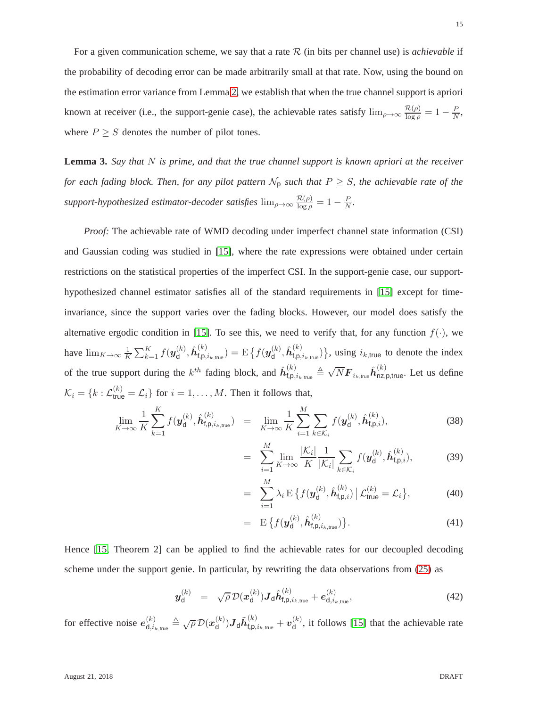For a given communication scheme, we say that a rate R (in bits per channel use) is *achievable* if the probability of decoding error can be made arbitrarily small at that rate. Now, using the bound on the estimation error variance from Lemma [2,](#page-11-0) we establish that when the true channel support is apriori known at receiver (i.e., the support-genie case), the achievable rates satisfy  $\lim_{\rho\to\infty} \frac{\mathcal{R}(\rho)}{\log \rho} = 1 - \frac{P}{N}$ , where  $P \geq S$  denotes the number of pilot tones.

<span id="page-14-1"></span>**Lemma 3.** *Say that* N *is prime, and that the true channel support is known apriori at the receiver for each fading block. Then, for any pilot pattern*  $\mathcal{N}_p$  *such that*  $P \geq S$ *, the achievable rate of the support-hypothesized estimator-decoder satisfies*  $\lim_{\rho \to \infty} \frac{\mathcal{R}(\rho)}{\log \rho} = 1 - \frac{P}{N}$ .

*Proof:* The achievable rate of WMD decoding under imperfect channel state information (CSI) and Gaussian coding was studied in [\[15\]](#page-28-13), where the rate expressions were obtained under certain restrictions on the statistical properties of the imperfect CSI. In the support-genie case, our supporthypothesized channel estimator satisfies all of the standard requirements in [\[15\]](#page-28-13) except for timeinvariance, since the support varies over the fading blocks. However, our model does satisfy the alternative ergodic condition in [\[15\]](#page-28-13). To see this, we need to verify that, for any function  $f(.)$ , we have  $\lim_{K\to\infty}\frac{1}{K}$  $\frac{1}{K}\sum_{k=1}^K f(\bm{y}_{\mathsf{d}}^{(k)}$  $\hat{\bm{h}}^{(k)}_{\sf d}, \hat{\bm{h}}^{(k)}_{\sf f, \sf p, i}$  $f_{\mathsf{f},\mathsf{p},i_{k,\mathsf{true}}}) = \mathrm{E}\left\{f(\boldsymbol{y}_{\mathsf{d}}^{(k)})\right\}$  $\hat{\bm{h}}^{(k)}_{\sf d}, \hat{\bm{h}}^{(k)}_{\sf f, \sf p, i}$  $\binom{k}{f,\mathsf{p},i_k,\mathsf{true}}$ , using  $i_k$ <sub>true</sub> to denote the index of the true support during the  $k^{th}$  fading block, and  $\hat{h}^{(k)}_{\text{f},\text{p},i_{k,\text{true}}} \triangleq \sqrt{N} \mathbf{F}_{i_{k,\text{true}}} \hat{h}^{(k)}_{\text{nz},\text{p,true}}$ . Let us define  $\mathcal{K}_i = \{k : \mathcal{L}_{\text{true}}^{(k)} = \mathcal{L}_i\}$  for  $i = 1, \dots, M$ . Then it follows that,

<span id="page-14-0"></span>
$$
\lim_{K \to \infty} \frac{1}{K} \sum_{k=1}^{K} f(\mathbf{y}_{d}^{(k)}, \hat{\mathbf{h}}_{\mathsf{f},\mathsf{p},i_{k,\mathsf{true}}^{(k)}) = \lim_{K \to \infty} \frac{1}{K} \sum_{i=1}^{M} \sum_{k \in \mathcal{K}_{i}} f(\mathbf{y}_{d}^{(k)}, \hat{\mathbf{h}}_{\mathsf{f},\mathsf{p},i}^{(k)}),
$$
\n(38)

$$
= \sum_{i=1}^{M} \lim_{K \to \infty} \frac{|\mathcal{K}_i|}{K} \frac{1}{|\mathcal{K}_i|} \sum_{k \in \mathcal{K}_i} f(\mathbf{y}_{\mathsf{d}}^{(k)}, \hat{\mathbf{h}}_{\mathsf{f},\mathsf{p},i}^{(k)}), \tag{39}
$$

$$
= \sum_{i=1}^{M} \lambda_i \mathbf{E} \left\{ f(\mathbf{y}_{\mathsf{d}}^{(k)}, \hat{\mathbf{h}}_{\mathsf{f},\mathsf{p},i}^{(k)}) \middle| \mathcal{L}_{\mathsf{true}}^{(k)} = \mathcal{L}_i \right\},\tag{40}
$$

$$
= \mathbf{E} \left\{ f(\boldsymbol{y}_{d}^{(k)}, \hat{\boldsymbol{h}}_{\mathsf{f},\mathsf{p},i_{k,\mathsf{true}}^{(k)}) \right\}.
$$
 (41)

Hence [\[15,](#page-28-13) Theorem 2] can be applied to find the achievable rates for our decoupled decoding scheme under the support genie. In particular, by rewriting the data observations from [\(25\)](#page-11-1) as

$$
\boldsymbol{y}_{\mathsf{d}}^{(k)} = \sqrt{\rho} \, \mathcal{D}(\boldsymbol{x}_{\mathsf{d}}^{(k)}) \boldsymbol{J}_{\mathsf{d}} \hat{\boldsymbol{h}}_{\mathsf{f},\mathsf{p},i_{k,\mathsf{true}}}^{(k)} + \boldsymbol{e}_{\mathsf{d},i_{k,\mathsf{true}}}^{(k)}, \tag{42}
$$

for effective noise  $e_{d,i}^{(k)}$  $\overset{(k)}{\underset{\mathsf{d},i_{k,\mathsf{true}}}{\mathsf{true}}} \triangleq \sqrt{\rho} \, \mathcal{D}(\bm{x}_{\mathsf{d}}^{(k)})$  $\mathbf{d}^{(k)})\boldsymbol{J}_{\mathsf{d}}\tilde{\boldsymbol{h}}_{\mathsf{f},\mathsf{p},i_{k,\mathsf{true}}}^{(k)}+\boldsymbol{v}_{\mathsf{d}}^{(k)}$  $\mathcal{L}_{d}^{(k)}$ , it follows [\[15\]](#page-28-13) that the achievable rate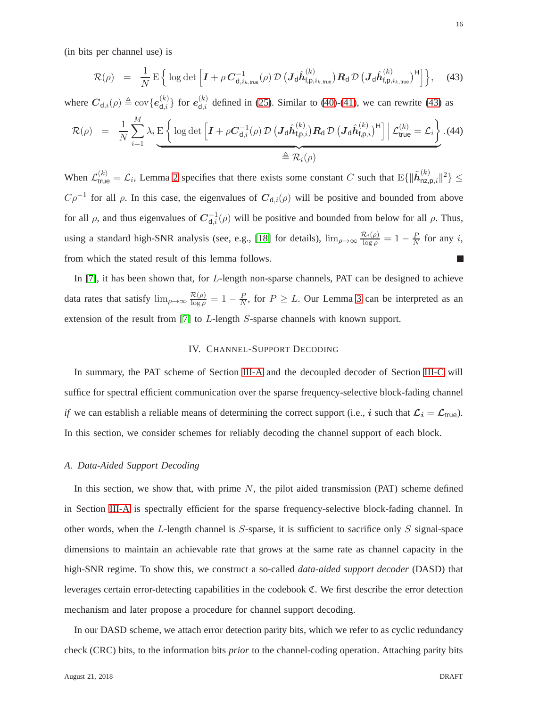(in bits per channel use) is

<span id="page-15-1"></span>
$$
\mathcal{R}(\rho) = \frac{1}{N} \mathbf{E} \left\{ \log \det \left[ \boldsymbol{I} + \rho \, \boldsymbol{C}_{\text{d},i_{k,\text{true}}}^{-1}(\rho) \, \mathcal{D} \left( \boldsymbol{J}_{\text{d}} \hat{\boldsymbol{h}}_{\text{f},\text{p},i_{k,\text{true}}}^{(k)} \right) \boldsymbol{R}_{\text{d}} \, \mathcal{D} \left( \boldsymbol{J}_{\text{d}} \hat{\boldsymbol{h}}_{\text{f},\text{p},i_{k,\text{true}}}^{(k)} \right)^{\text{H}} \right] \right\}, \quad (43)
$$

where  $C_{d,i}(\rho) \triangleq \text{cov}\{e_{d,i}^{(k)}\}$  for  $e_{d,i}^{(k)}$  defined in [\(25\)](#page-11-1). Similar to [\(40\)](#page-14-0)-[\(41\)](#page-14-0), we can rewrite [\(43\)](#page-15-1) as

$$
\mathcal{R}(\rho) = \frac{1}{N} \sum_{i=1}^{M} \lambda_i \underbrace{E \left\{ \log \det \left[ I + \rho C_{\mathsf{d},i}^{-1}(\rho) \mathcal{D} \left( \mathbf{J}_{\mathsf{d}} \hat{\boldsymbol{h}}_{\mathsf{f},\mathsf{p},i}^{(k)} \right) \mathbf{R}_{\mathsf{d}} \mathcal{D} \left( \mathbf{J}_{\mathsf{d}} \hat{\boldsymbol{h}}_{\mathsf{f},\mathsf{p},i}^{(k)} \right)^{\mathsf{H}} \right] \Big| \mathcal{L}_{\text{true}}^{(k)} = \mathcal{L}_i \right\} . \tag{44}
$$

When  $\mathcal{L}_{\text{true}}^{(k)} = \mathcal{L}_i$ , Lemma [2](#page-11-0) specifies that there exists some constant C such that  $E\{\|\tilde{\boldsymbol{h}}_{\text{nz},i}^{(k)}\|$  $\sum_{n \geq p, i}^{\infty} \| \nvert^2 \} \leq$  $C\rho^{-1}$  for all  $\rho$ . In this case, the eigenvalues of  $C_{d,i}(\rho)$  will be positive and bounded from above for all  $\rho$ , and thus eigenvalues of  $C_{d,i}^{-1}(\rho)$  will be positive and bounded from below for all  $\rho$ . Thus, using a standard high-SNR analysis (see, e.g., [\[18\]](#page-28-16) for details),  $\lim_{\rho\to\infty} \frac{\mathcal{R}_i(\rho)}{\log \rho} = 1 - \frac{P}{N}$  $\frac{P}{N}$  for any *i*, from which the stated result of this lemma follows.

In [\[7\]](#page-28-5), it has been shown that, for L-length non-sparse channels, PAT can be designed to achieve data rates that satisfy  $\lim_{\rho \to \infty} \frac{\mathcal{R}(\rho)}{\log \rho} = 1 - \frac{P}{N}$  $\frac{P}{N}$ , for  $P \geq L$ . Our Lemma [3](#page-14-1) can be interpreted as an extension of the result from [\[7\]](#page-28-5) to L-length S-sparse channels with known support.

## IV. CHANNEL-SUPPORT DECODING

In summary, the PAT scheme of Section [III-A](#page-7-1) and the decoupled decoder of Section [III-C](#page-10-1) will suffice for spectral efficient communication over the sparse frequency-selective block-fading channel *if* we can establish a reliable means of determining the correct support (i.e., *i* such that  $\mathcal{L}_i = \mathcal{L}_{true}$ ). In this section, we consider schemes for reliably decoding the channel support of each block.

## <span id="page-15-0"></span>*A. Data-Aided Support Decoding*

In this section, we show that, with prime  $N$ , the pilot aided transmission (PAT) scheme defined in Section [III-A](#page-7-1) is spectrally efficient for the sparse frequency-selective block-fading channel. In other words, when the L-length channel is  $S$ -sparse, it is sufficient to sacrifice only  $S$  signal-space dimensions to maintain an achievable rate that grows at the same rate as channel capacity in the high-SNR regime. To show this, we construct a so-called *data-aided support decoder* (DASD) that leverages certain error-detecting capabilities in the codebook C. We first describe the error detection mechanism and later propose a procedure for channel support decoding.

In our DASD scheme, we attach error detection parity bits, which we refer to as cyclic redundancy check (CRC) bits, to the information bits *prior* to the channel-coding operation. Attaching parity bits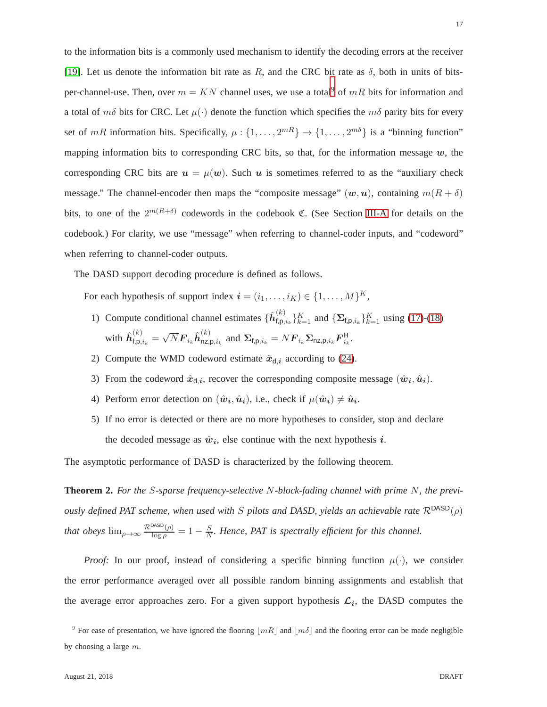to the information bits is a commonly used mechanism to identify the decoding errors at the receiver [\[19\]](#page-28-17). Let us denote the information bit rate as R, and the CRC bit rate as  $\delta$ , both in units of bitsper-channel-use. Then, over  $m = KN$  channel uses, we use a total<sup>[9](#page-16-0)</sup> of mR bits for information and a total of  $m\delta$  bits for CRC. Let  $\mu(\cdot)$  denote the function which specifies the  $m\delta$  parity bits for every set of mR information bits. Specifically,  $\mu$ :  $\{1, \ldots, 2^{mR}\} \rightarrow \{1, \ldots, 2^{m\delta}\}$  is a "binning function" mapping information bits to corresponding CRC bits, so that, for the information message  $w$ , the corresponding CRC bits are  $u = \mu(w)$ . Such u is sometimes referred to as the "auxiliary check message." The channel-encoder then maps the "composite message"  $(w, u)$ , containing  $m(R + \delta)$ bits, to one of the  $2^{m(R+\delta)}$  codewords in the codebook C. (See Section [III-A](#page-7-1) for details on the codebook.) For clarity, we use "message" when referring to channel-coder inputs, and "codeword" when referring to channel-coder outputs.

The DASD support decoding procedure is defined as follows.

For each hypothesis of support index  $\mathbf{i} = (i_1, \dots, i_K) \in \{1, \dots, M\}^K$ ,

- 1) Compute conditional channel estimates  $\{\hat{h}_{\text{f,p}}^{(k)}\}$  $f_{\text{f},\text{p},i_k}^{(k)}\}_{k=1}^K$  and  $\{\mathbf{\Sigma}_{\text{f},\text{p},i_k}\}_{k=1}^K$  using [\(17\)](#page-9-1)-[\(18\)](#page-9-1) with  $\hat{\boldsymbol{h}}_{\text{f},\text{p},i_{k}}^{(k)} = \sqrt{N} \boldsymbol{F}_{i_{k}} \hat{\boldsymbol{h}}_{\text{nz},\text{l}}^{(k)}$  $\sum_{n_z,\mathsf{p},i_k}^{(\kappa)}$  and  $\mathbf{\Sigma}_{\mathsf{f},\mathsf{p},i_k} = N \mathbf{F}_{i_k} \mathbf{\Sigma}_{\mathsf{nz},\mathsf{p},i_k} \mathbf{F}_{i_k}^{\mathsf{H}}$ .
- 2) Compute the WMD codeword estimate  $\hat{x}_{d,i}$  according to [\(24\)](#page-11-2).
- 3) From the codeword  $\hat{x}_{d,i}$ , recover the corresponding composite message  $(\hat{w}_i, \hat{u}_i)$ .
- 4) Perform error detection on  $(\hat{w}_i, \hat{u}_i)$ , i.e., check if  $\mu(\hat{w}_i) \neq \hat{u}_i$ .
- 5) If no error is detected or there are no more hypotheses to consider, stop and declare the decoded message as  $\hat{w}_i$ , else continue with the next hypothesis i.

The asymptotic performance of DASD is characterized by the following theorem.

**Theorem 2.** *For the* S*-sparse frequency-selective* N*-block-fading channel with prime* N*, the previously defined PAT scheme, when used with* S *pilots and DASD, yields an achievable rate*  $\mathcal{R}^{DASD}(\rho)$ *that obeys*  $\lim_{\rho \to \infty} \frac{\mathcal{R}^{\text{DASD}}(\rho)}{\log \rho} = 1 - \frac{S}{N}$  $\frac{S}{N}$ . Hence, PAT is spectrally efficient for this channel.

*Proof:* In our proof, instead of considering a specific binning function  $\mu(\cdot)$ , we consider the error performance averaged over all possible random binning assignments and establish that the average error approaches zero. For a given support hypothesis  $\mathcal{L}_i$ , the DASD computes the

17

<span id="page-16-0"></span><sup>&</sup>lt;sup>9</sup> For ease of presentation, we have ignored the flooring  $\lfloor mR \rfloor$  and  $\lfloor m\delta \rfloor$  and the flooring error can be made negligible by choosing a large m.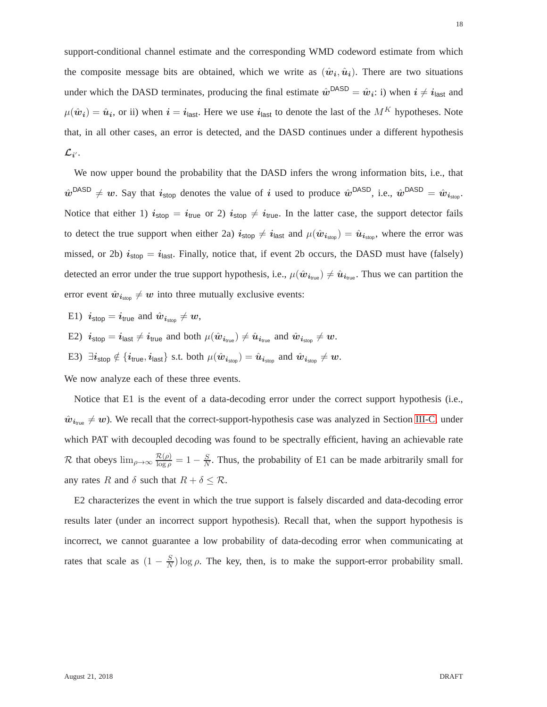support-conditional channel estimate and the corresponding WMD codeword estimate from which the composite message bits are obtained, which we write as  $(\hat{w}_i, \hat{u}_i)$ . There are two situations under which the DASD terminates, producing the final estimate  $\hat{w}^{DASD} = \hat{w}_i$ : i) when  $i \neq i_{\text{last}}$  and  $\mu(\hat{\bm{w}}_{i}) = \hat{\bm{u}}_{i}$ , or ii) when  $i = i_{\text{last}}$ . Here we use  $i_{\text{last}}$  to denote the last of the  $M^{K}$  hypotheses. Note that, in all other cases, an error is detected, and the DASD continues under a different hypothesis  $\mathcal{L}_{i^{\prime}}$  .

We now upper bound the probability that the DASD infers the wrong information bits, i.e., that  $\hat{w}^{\text{DASD}} \neq w$ . Say that  $i_{\text{stop}}$  denotes the value of i used to produce  $\hat{w}^{\text{DASD}}$ , i.e.,  $\hat{w}^{\text{DASD}} = \hat{w}_{i_{\text{stop}}}$ . Notice that either 1)  $i_{stop} = i_{true}$  or 2)  $i_{stop} \neq i_{true}$ . In the latter case, the support detector fails to detect the true support when either 2a)  $i_{stop} \neq i_{last}$  and  $\mu(\hat{w}_{i_{stop}}) = \hat{u}_{i_{stop}}$ , where the error was missed, or 2b)  $i_{stop} = i_{last}$ . Finally, notice that, if event 2b occurs, the DASD must have (falsely) detected an error under the true support hypothesis, i.e.,  $\mu(\hat{\boldsymbol{w}}_{i_{true}}) \neq \hat{\boldsymbol{u}}_{i_{true}}$ . Thus we can partition the error event  $\hat{w}_{i_{\text{stop}}} \neq w$  into three mutually exclusive events:

- E1)  $i_{\text{stop}} = i_{\text{true}}$  and  $\hat{w}_{i_{\text{stop}}} \neq w$ ,
- E2)  $i_{\text{stop}} = i_{\text{last}} \neq i_{\text{true}}$  and both  $\mu(\hat{w}_{i_{\text{true}}}) \neq \hat{u}_{i_{\text{true}}}$  and  $\hat{w}_{i_{\text{stop}}} \neq w$ .
- E3)  $\exists i_{\text{stop}} \notin \{i_{\text{true}}, i_{\text{last}}\}$  s.t. both  $\mu(\hat{w}_{i_{\text{stop}}}) = \hat{u}_{i_{\text{stop}}}$  and  $\hat{w}_{i_{\text{stop}}} \neq w$ .

We now analyze each of these three events.

Notice that E1 is the event of a data-decoding error under the correct support hypothesis (i.e.,  $\hat{w}_{i_{true}} \neq w$ ). We recall that the correct-support-hypothesis case was analyzed in Section [III-C,](#page-10-1) under which PAT with decoupled decoding was found to be spectrally efficient, having an achievable rate R that obeys  $\lim_{\rho \to \infty} \frac{\mathcal{R}(\rho)}{\log \rho} = 1 - \frac{S}{N}$  $\frac{S}{N}$ . Thus, the probability of E1 can be made arbitrarily small for any rates R and  $\delta$  such that  $R + \delta \leq \mathcal{R}$ .

E2 characterizes the event in which the true support is falsely discarded and data-decoding error results later (under an incorrect support hypothesis). Recall that, when the support hypothesis is incorrect, we cannot guarantee a low probability of data-decoding error when communicating at rates that scale as  $(1 - \frac{S}{N})$  $\frac{S}{N}$ ) log  $\rho$ . The key, then, is to make the support-error probability small.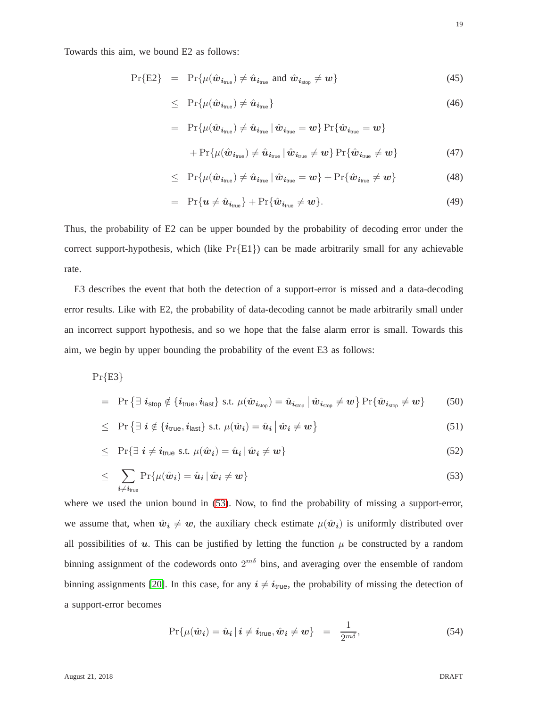Towards this aim, we bound E2 as follows:

$$
\Pr\{E2\} = \Pr\{\mu(\hat{\boldsymbol{w}}_{i_{\text{true}}}) \neq \hat{\boldsymbol{u}}_{i_{\text{true}}} \text{ and } \hat{\boldsymbol{w}}_{i_{\text{stop}}} \neq \boldsymbol{w}\}\
$$
\n(45)

$$
\leq \quad \Pr\{\mu(\hat{\boldsymbol{w}}_{i_{\text{true}}}) \neq \hat{\boldsymbol{u}}_{i_{\text{true}}}\}\tag{46}
$$

$$
= \Pr\{\mu(\hat{\boldsymbol{w}}_{i_{\text{true}}}) \neq \hat{\boldsymbol{u}}_{i_{\text{true}}} | \hat{\boldsymbol{w}}_{i_{\text{true}}} = \boldsymbol{w}\} \Pr\{\hat{\boldsymbol{w}}_{i_{\text{true}}} = \boldsymbol{w}\} + \Pr\{\mu(\hat{\boldsymbol{w}}_{i_{\text{true}}}) \neq \hat{\boldsymbol{u}}_{i_{\text{true}}} | \hat{\boldsymbol{w}}_{i_{\text{true}}} \neq \boldsymbol{w}\} \Pr\{\hat{\boldsymbol{w}}_{i_{\text{true}}} \neq \boldsymbol{w}\}
$$
(47)

$$
\leq \Pr{\mu(\hat{\boldsymbol{w}}_{i_{\text{true}}}) \neq \hat{\boldsymbol{u}}_{i_{\text{true}}} \mid \hat{\boldsymbol{w}}_{i_{\text{true}}} = \boldsymbol{w}} + \Pr{\hat{\boldsymbol{w}}_{i_{\text{true}}} \neq \boldsymbol{w}} \tag{48}
$$

$$
= \Pr\{u \neq \hat{u}_{i_{\text{true}}}\} + \Pr\{\hat{w}_{i_{\text{true}}} \neq w\}.
$$
\n(49)

Thus, the probability of E2 can be upper bounded by the probability of decoding error under the correct support-hypothesis, which (like  $Pr{E1}$ ) can be made arbitrarily small for any achievable rate.

E3 describes the event that both the detection of a support-error is missed and a data-decoding error results. Like with E2, the probability of data-decoding cannot be made arbitrarily small under an incorrect support hypothesis, and so we hope that the false alarm error is small. Towards this aim, we begin by upper bounding the probability of the event E3 as follows:

<span id="page-18-0"></span>
$$
\Pr\{E3\}
$$

$$
= \Pr \left\{ \exists i_{\text{stop}} \notin \{i_{\text{true}}, i_{\text{last}}\} \text{ s.t. } \mu(\hat{\boldsymbol{w}}_{i_{\text{stop}}}) = \hat{\boldsymbol{u}}_{i_{\text{stop}}} \mid \hat{\boldsymbol{w}}_{i_{\text{stop}}} \neq \boldsymbol{w} \right\} \Pr \{ \hat{\boldsymbol{w}}_{i_{\text{stop}}} \neq \boldsymbol{w} \} \tag{50}
$$

$$
\leq \quad \Pr\left\{ \exists \ i \notin \{i_{\text{true}}, i_{\text{last}}\} \ \text{s.t.} \ \mu(\hat{\boldsymbol{w}}_i) = \hat{\boldsymbol{u}}_i \ \middle| \ \hat{\boldsymbol{w}}_i \neq \boldsymbol{w} \right\} \tag{51}
$$

$$
\leq \quad \Pr\{\exists \ i \neq i_{\text{true}} \text{ s.t. } \mu(\hat{\boldsymbol{w}}_i) = \hat{\boldsymbol{u}}_i \,|\, \hat{\boldsymbol{w}}_i \neq \boldsymbol{w}\}\tag{52}
$$

$$
\leq \sum_{i \neq i_{true}} \Pr\{\mu(\hat{\boldsymbol{w}}_i) = \hat{\boldsymbol{u}}_i \,|\, \hat{\boldsymbol{w}}_i \neq \boldsymbol{w}\}\tag{53}
$$

where we used the union bound in  $(53)$ . Now, to find the probability of missing a support-error, we assume that, when  $\hat{w}_i \neq w$ , the auxiliary check estimate  $\mu(\hat{w}_i)$  is uniformly distributed over all possibilities of  $u$ . This can be justified by letting the function  $\mu$  be constructed by a random binning assignment of the codewords onto  $2^{m\delta}$  bins, and averaging over the ensemble of random binning assignments [\[20\]](#page-28-18). In this case, for any  $i \neq i_{true}$ , the probability of missing the detection of a support-error becomes

$$
\Pr\{\mu(\hat{\boldsymbol{w}}_{i}) = \hat{\boldsymbol{u}}_{i} \, | \, i \neq i_{\text{true}}, \hat{\boldsymbol{w}}_{i} \neq \boldsymbol{w}\} \quad = \quad \frac{1}{2^{m\delta}},\tag{54}
$$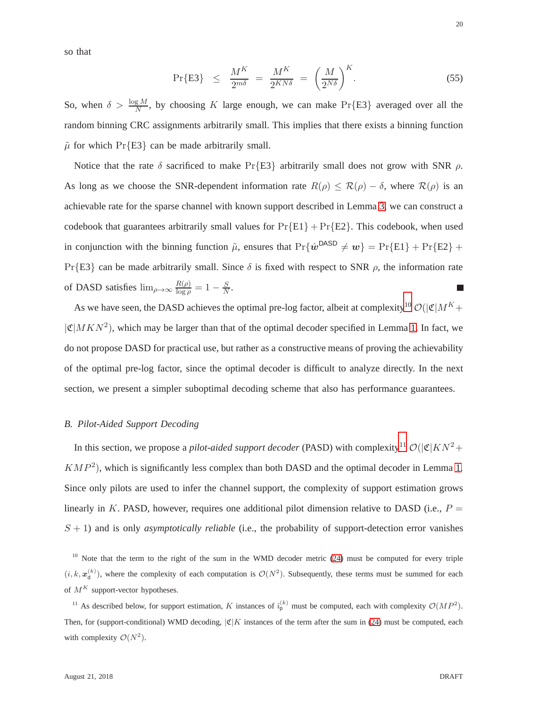so that

$$
\Pr\{\text{E3}\} \ \leq \ \frac{M^K}{2^{m\delta}} = \frac{M^K}{2^{KN\delta}} = \left(\frac{M}{2^{N\delta}}\right)^K. \tag{55}
$$

So, when  $\delta > \frac{\log M}{N}$ , by choosing K large enough, we can make Pr{E3} averaged over all the random binning CRC assignments arbitrarily small. This implies that there exists a binning function  $\tilde{\mu}$  for which Pr{E3} can be made arbitrarily small.

Notice that the rate  $\delta$  sacrificed to make Pr{E3} arbitrarily small does not grow with SNR  $\rho$ . As long as we choose the SNR-dependent information rate  $R(\rho) \leq \mathcal{R}(\rho) - \delta$ , where  $\mathcal{R}(\rho)$  is an achievable rate for the sparse channel with known support described in Lemma [3,](#page-14-1) we can construct a codebook that guarantees arbitrarily small values for  $Pr{E1} + Pr{E2}$ . This codebook, when used in conjunction with the binning function  $\tilde{\mu}$ , ensures that  $\Pr{\hat{w}^{\text{DASD}} \neq w} = \Pr{E1} + \Pr{E2} + \Pr{E2}$ Pr{E3} can be made arbitrarily small. Since  $\delta$  is fixed with respect to SNR  $\rho$ , the information rate of DASD satisfies  $\lim_{\rho \to \infty} \frac{R(\rho)}{\log \rho}$  $\frac{R(\rho)}{\log \rho} = 1 - \frac{S}{N}$  $\frac{S}{N}$ .

As we have seen, the DASD achieves the optimal pre-log factor, albeit at complexity<sup>[10](#page-19-1)</sup>  $\mathcal{O}(|\mathfrak{C}|M^K +$  $|\mathfrak{C}|MKN^2$ ), which may be larger than that of the optimal decoder specified in Lemma [1.](#page-8-0) In fact, we do not propose DASD for practical use, but rather as a constructive means of proving the achievability of the optimal pre-log factor, since the optimal decoder is difficult to analyze directly. In the next section, we present a simpler suboptimal decoding scheme that also has performance guarantees.

### <span id="page-19-0"></span>*B. Pilot-Aided Support Decoding*

In this section, we propose a *pilot-aided support decoder* (PASD) with complexity<sup>[11](#page-19-2)</sup>  $\mathcal{O}(|\mathfrak{C}|KN^2+$  $KMP<sup>2</sup>$ ), which is significantly less complex than both DASD and the optimal decoder in Lemma [1.](#page-8-0) Since only pilots are used to infer the channel support, the complexity of support estimation grows linearly in K. PASD, however, requires one additional pilot dimension relative to DASD (i.e.,  $P =$  $S + 1$ ) and is only *asymptotically reliable* (i.e., the probability of support-detection error vanishes

<span id="page-19-1"></span><sup>10</sup> Note that the term to the right of the sum in the WMD decoder metric [\(24\)](#page-11-2) must be computed for every triple  $(i, k, \mathbf{x}_{d}^{(k)})$ , where the complexity of each computation is  $\mathcal{O}(N^2)$ . Subsequently, these terms must be summed for each of  $M^K$  support-vector hypotheses.

<span id="page-19-2"></span><sup>11</sup> As described below, for support estimation, K instances of  $\hat{i}_{p}^{(k)}$  must be computed, each with complexity  $\mathcal{O}(MP^2)$ . Then, for (support-conditional) WMD decoding,  $|\mathfrak{C}|K$  instances of the term after the sum in [\(24\)](#page-11-2) must be computed, each with complexity  $\mathcal{O}(N^2)$ .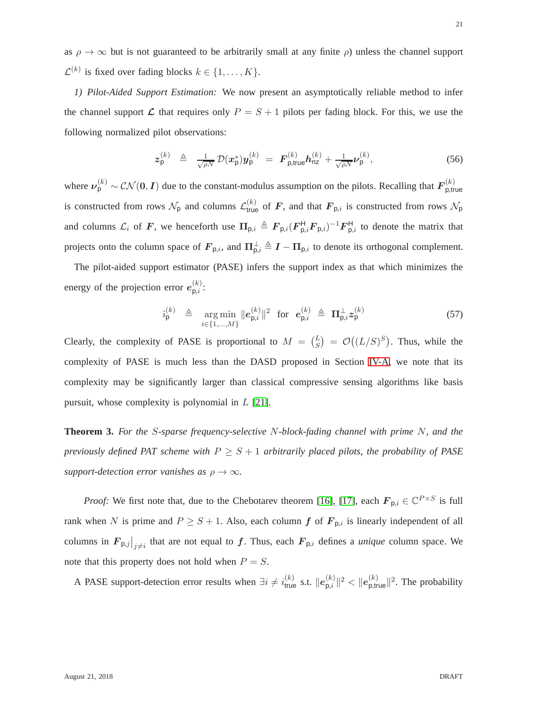as  $\rho \to \infty$  but is not guaranteed to be arbitrarily small at any finite  $\rho$ ) unless the channel support  $\mathcal{L}^{(k)}$  is fixed over fading blocks  $k \in \{1, \ldots, K\}.$ 

*1) Pilot-Aided Support Estimation:* We now present an asymptotically reliable method to infer the channel support  $\mathcal L$  that requires only  $P = S + 1$  pilots per fading block. For this, we use the following normalized pilot observations:

$$
z_{\mathsf{p}}^{(k)} \triangleq \frac{1}{\sqrt{\rho N}} \mathcal{D}(x_{\mathsf{p}}^{*}) y_{\mathsf{p}}^{(k)} = \boldsymbol{F}_{\mathsf{p,true}}^{(k)} \boldsymbol{h}_{\mathsf{nz}}^{(k)} + \frac{1}{\sqrt{\rho N}} \boldsymbol{\nu}_{\mathsf{p}}^{(k)}, \qquad (56)
$$

where  $\nu_p^{(k)} \sim \mathcal{CN}(0, I)$  due to the constant-modulus assumption on the pilots. Recalling that  $F_{p, \text{tr}}^{(k)}$ p,true is constructed from rows  $\mathcal{N}_p$  and columns  $\mathcal{L}_{true}^{(k)}$  of F, and that  $\mathbf{F}_{p,i}$  is constructed from rows  $\mathcal{N}_p$ and columns  $\mathcal{L}_i$  of F, we henceforth use  $\Pi_{p,i} \triangleq F_{p,i}(F_{p,i}^H F_{p,i})^{-1} F_{p,i}^H$  to denote the matrix that projects onto the column space of  $F_{p,i}$ , and  $\Pi_{p,i}^{\perp} \triangleq I - \Pi_{p,i}$  to denote its orthogonal complement.

The pilot-aided support estimator (PASE) infers the support index as that which minimizes the energy of the projection error  $e_{p,i}^{(k)}$  $\overset{(\kappa)}{\mathsf{p},i}$ :

<span id="page-20-1"></span>
$$
\hat{i}_{\mathsf{p}}^{(k)} \triangleq \mathop{\rm arg\,min}_{i \in \{1, ..., M\}} \|e_{\mathsf{p},i}^{(k)}\|^2 \quad \text{for} \quad e_{\mathsf{p},i}^{(k)} \triangleq \Pi_{\mathsf{p},i}^{\perp} z_{\mathsf{p}}^{(k)} \tag{57}
$$

Clearly, the complexity of PASE is proportional to  $M = \binom{L}{S} = \mathcal{O}((L/S)^S)$ . Thus, while the complexity of PASE is much less than the DASD proposed in Section [IV-A,](#page-15-0) we note that its complexity may be significantly larger than classical compressive sensing algorithms like basis pursuit, whose complexity is polynomial in L [\[21\]](#page-28-19).

<span id="page-20-0"></span>**Theorem 3.** *For the* S*-sparse frequency-selective* N*-block-fading channel with prime* N*, and the previously defined PAT scheme with*  $P \geq S + 1$  *arbitrarily placed pilots, the probability of PASE support-detection error vanishes as*  $\rho \to \infty$ *.* 

*Proof:* We first note that, due to the Chebotarev theorem [\[16\]](#page-28-14), [\[17\]](#page-28-15), each  $\mathbf{F}_{p,i} \in \mathbb{C}^{P \times S}$  is full rank when N is prime and  $P \geq S + 1$ . Also, each column f of  $F_{p,i}$  is linearly independent of all columns in  $F_{p,j}|_{j\neq i}$  that are not equal to f. Thus, each  $F_{p,i}$  defines a *unique* column space. We note that this property does not hold when  $P = S$ .

A PASE support-detection error results when  $\exists i \neq i_{\text{true}}^{(k)}$  s.t.  $||e_{p,i}^{(k)}||$  $\vert_{\mathsf{p},i}^{(k)}\vert\vert^2 < \vert\vert e_{\mathsf{p,true}}^{(k)}\vert\vert^2$ . The probability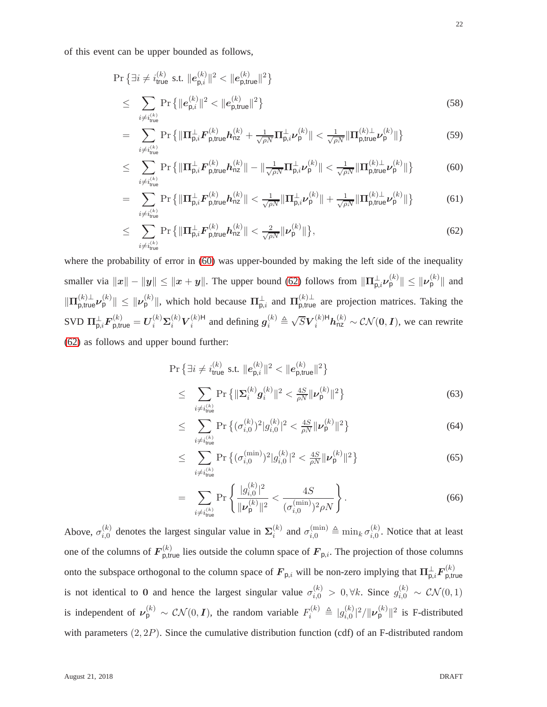of this event can be upper bounded as follows,

<span id="page-21-0"></span>
$$
\Pr\left\{\exists i \neq i_{\text{true}}^{(k)} \text{ s.t. } ||e_{\mathsf{p},i}^{(k)}||^{2} < ||e_{\mathsf{p,true}}^{(k)}||^{2}\right\} \\
\leq \sum_{i \neq i_{\text{true}}^{(k)}} \Pr\left\{||e_{\mathsf{p},i}^{(k)}||^{2} < ||e_{\mathsf{p,true}}^{(k)}||^{2}\right\} \tag{58}
$$

$$
= \sum_{i \neq i_{\text{true}}^{(k)}} \Pr \left\{ \|\Pi_{\mathsf{p},i}^{\perp} \boldsymbol{F}_{\mathsf{p},\text{true}}^{(k)} \boldsymbol{h}_{\text{nz}}^{(k)} + \frac{1}{\sqrt{\rho N}} \Pi_{\mathsf{p},i}^{\perp} \boldsymbol{\nu}_{\mathsf{p}}^{(k)} \| < \frac{1}{\sqrt{\rho N}} \|\Pi_{\mathsf{p},\text{true}}^{(k)\perp} \boldsymbol{\nu}_{\mathsf{p}}^{(k)} \| \right\} \tag{59}
$$

$$
\leq \sum_{i \neq i_{\text{true}}^{(k)}} \Pr \left\{ \|\Pi_{\mathsf{p},i}^{\perp} \boldsymbol{F}_{\mathsf{p},\text{true}}^{(k)} \boldsymbol{h}_{\text{nz}}^{(k)}\| - \|\frac{1}{\sqrt{\rho N}} \Pi_{\mathsf{p},i}^{\perp} \boldsymbol{\nu}_{\mathsf{p}}^{(k)}\| < \frac{1}{\sqrt{\rho N}} \|\Pi_{\mathsf{p},\text{true}}^{(k)\perp} \boldsymbol{\nu}_{\mathsf{p}}^{(k)}\| \right\} \tag{60}
$$

$$
= \sum_{i \neq i_{\text{true}}^{(k)}} \Pr \left\{ \|\Pi_{\mathsf{p},i}^{\perp} \boldsymbol{F}_{\mathsf{p},\text{true}}^{(k)} \boldsymbol{h}_{\text{nz}}^{(k)} \| < \frac{1}{\sqrt{\rho N}} \|\Pi_{\mathsf{p},i}^{\perp} \boldsymbol{\nu}_{\mathsf{p}}^{(k)} \| + \frac{1}{\sqrt{\rho N}} \|\Pi_{\mathsf{p},\text{true}}^{(k)\perp} \boldsymbol{\nu}_{\mathsf{p}}^{(k)} \| \right\} \tag{61}
$$

$$
\leq \sum_{i \neq i_{\text{true}}^{(k)}} \Pr \left\{ \|\mathbf{\Pi}_{\mathsf{p},i}^{\perp} \mathbf{F}_{\mathsf{p},\text{true}}^{(k)} \mathbf{h}_{\text{nz}}^{(k)} \| < \frac{2}{\sqrt{\rho N}} \|\mathbf{\nu}_{\mathsf{p}}^{(k)} \| \right\},\tag{62}
$$

where the probability of error in  $(60)$  was upper-bounded by making the left side of the inequality smaller via  $||x|| - ||y|| \le ||x + y||$ . The upper bound [\(62\)](#page-21-0) follows from  $\|\Pi_{p,i}^{\perp} \nu_p^{(k)}\| \le ||\nu_p^{(k)}||$  and  $\|\Pi_{p,\text{true}}^{(k)}\boldsymbol{\nu}_p^{(k)}\| \leq \|\boldsymbol{\nu}_p^{(k)}\|$ , which hold because  $\Pi_{p,i}^{\perp}$  and  $\Pi_{p,\text{true}}^{(k)\perp}$  are projection matrices. Taking the  $\text{SVD}\ \mathbf{\Pi}_{\mathsf{p},i}^{\perp} \boldsymbol{F}^{(k)}_{\mathsf{p,true}} = \boldsymbol{U}_i^{(k)} \boldsymbol{\Sigma}_i^{(k)} \boldsymbol{V}_i^{(k)\mathsf{H}}$  $i_k^{(k)}$ <sup>H</sup> and defining  $g_i^{(k)} \triangleq \sqrt{S} V_i^{(k)H} h_{nz}^{(k)} \sim \mathcal{CN}(0, I)$ , we can rewrite [\(62\)](#page-21-0) as follows and upper bound further:

<span id="page-21-1"></span>
$$
\Pr\left\{\exists i \neq i_{\text{true}}^{(k)} \text{ s.t. } ||e_{\mathsf{p},i}^{(k)}||^{2} < ||e_{\mathsf{p},\text{true}}^{(k)}||^{2}\right\} \\
\leq \sum_{i \neq i_{\text{true}}^{(k)}} \Pr\left\{||\boldsymbol{\Sigma}_{i}^{(k)} \boldsymbol{g}_{i}^{(k)}||^{2} < \frac{4S}{\rho N} ||\boldsymbol{\nu}_{\mathsf{p}}^{(k)}||^{2}\right\} \tag{63}
$$

$$
\leq \sum_{i \neq i_{\text{true}}^{(k)}} \Pr \left\{ (\sigma_{i,0}^{(k)})^2 | g_{i,0}^{(k)} |^2 < \frac{4S}{\rho N} || \nu_{\mathsf{p}}^{(k)} ||^2 \right\} \tag{64}
$$

$$
\leq \sum_{i \neq i_{\text{true}}^{(k)}} \Pr \left\{ (\sigma_{i,0}^{(\min)})^2 |g_{i,0}^{(k)}|^2 < \frac{4S}{\rho N} ||\boldsymbol{\nu}_{\mathsf{p}}^{(k)}||^2 \right\} \tag{65}
$$

$$
= \sum_{i \neq i_{\text{true}}^{(k)}} \Pr \left\{ \frac{|g_{i,0}^{(k)}|^2}{\|\nu_{\mathsf{p}}^{(k)}\|^2} < \frac{4S}{(\sigma_{i,0}^{(\min)})^2 \rho N} \right\} . \tag{66}
$$

Above,  $\sigma_{i,0}^{(k)}$  $\mathcal{L}_{i,0}^{(k)}$  denotes the largest singular value in  $\Sigma_i^{(k)}$  $\sigma_{i,0}^{(k)}$  and  $\sigma_{i,0}^{(\min)} \triangleq \min_k \sigma_{i,0}^{(k)}$  $i_{i,0}^{(k)}$ . Notice that at least one of the columns of  $F_{\text{p,true}}^{(k)}$  lies outside the column space of  $F_{\text{p},i}$ . The projection of those columns onto the subspace orthogonal to the column space of  $F_{p,i}$  will be non-zero implying that  $\Pi_{p,i}^{\perp}F_{p,\text{tr}}^{(k)}$ p,true is not identical to 0 and hence the largest singular value  $\sigma_{i,0}^{(k)} > 0, \forall k$ . Since  $g_{i,0}^{(k)} \sim \mathcal{CN}(0,1)$ is independent of  $\nu_p^{(k)} \sim \mathcal{CN}(0, I)$ , the random variable  $F_i^{(k)} \triangleq |g_{i,0}^{(k)}|$  $\int_{i,0}^{(k)}|^2/\Vert \nu^{(k)}_{\mathsf{p}}\Vert^2$  is F-distributed with parameters  $(2, 2P)$ . Since the cumulative distribution function (cdf) of an F-distributed random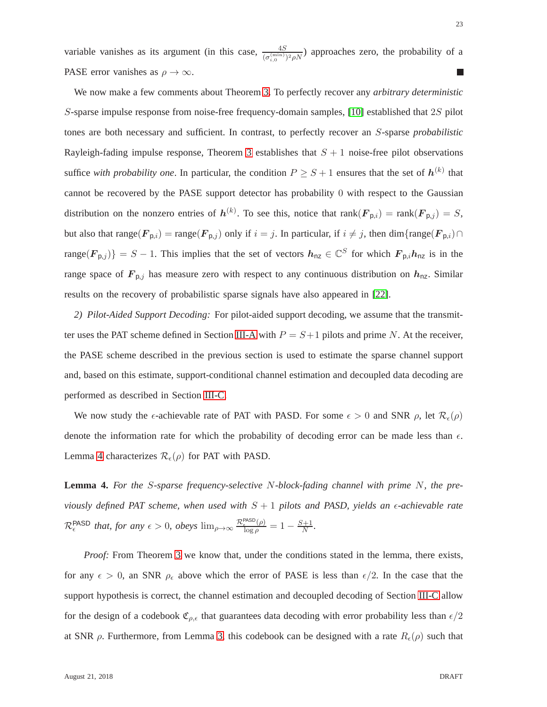variable vanishes as its argument (in this case,  $\frac{4S}{(\sigma_{i,0}^{(\min)})^2 \rho N}$ ) approaches zero, the probability of a PASE error vanishes as  $\rho \to \infty$ .

We now make a few comments about Theorem [3.](#page-20-0) To perfectly recover any *arbitrary deterministic* S-sparse impulse response from noise-free frequency-domain samples, [\[10\]](#page-28-8) established that 2S pilot tones are both necessary and sufficient. In contrast, to perfectly recover an S-sparse *probabilistic* Rayleigh-fading impulse response, Theorem [3](#page-20-0) establishes that  $S + 1$  noise-free pilot observations suffice *with probability one*. In particular, the condition  $P \geq S + 1$  ensures that the set of  $h^{(k)}$  that cannot be recovered by the PASE support detector has probability 0 with respect to the Gaussian distribution on the nonzero entries of  $h^{(k)}$ . To see this, notice that rank $(\mathbf{F}_{p,i}) = \text{rank}(\mathbf{F}_{p,j}) = S$ , but also that range( $\mathbf{F}_{p,i}$ ) = range( $\mathbf{F}_{p,j}$ ) only if  $i = j$ . In particular, if  $i \neq j$ , then dim{range( $\mathbf{F}_{p,i}$ ) ∩ range $(F_{p,j})\}=S-1$ . This implies that the set of vectors  $h_{nz} \in \mathbb{C}^S$  for which  $F_{p,i}h_{nz}$  is in the range space of  $F_{p,j}$  has measure zero with respect to any continuous distribution on  $h_{nz}$ . Similar results on the recovery of probabilistic sparse signals have also appeared in [\[22\]](#page-29-0).

*2) Pilot-Aided Support Decoding:* For pilot-aided support decoding, we assume that the transmit-ter uses the PAT scheme defined in Section [III-A](#page-7-1) with  $P = S + 1$  pilots and prime N. At the receiver, the PASE scheme described in the previous section is used to estimate the sparse channel support and, based on this estimate, support-conditional channel estimation and decoupled data decoding are performed as described in Section [III-C.](#page-10-1)

We now study the  $\epsilon$ -achievable rate of PAT with PASD. For some  $\epsilon > 0$  and SNR  $\rho$ , let  $\mathcal{R}_{\epsilon}(\rho)$ denote the information rate for which the probability of decoding error can be made less than  $\epsilon$ . Lemma [4](#page-22-0) characterizes  $\mathcal{R}_{\epsilon}(\rho)$  for PAT with PASD.

<span id="page-22-0"></span>**Lemma 4.** *For the* S*-sparse frequency-selective* N*-block-fading channel with prime* N*, the previously defined PAT scheme, when used with*  $S + 1$  *pilots and PASD, yields an*  $\epsilon$ *-achievable rate*  $\mathcal{R}_{\epsilon}^{\text{PASD}}$  that, for any  $\epsilon > 0$ , obeys  $\lim_{\rho \to \infty} \frac{\mathcal{R}_{\epsilon}^{\text{PASD}}(\rho)}{\log \rho}$  $\frac{\int_{\epsilon}^{PASD}(\rho)}{\log \rho} = 1 - \frac{S+1}{N}$  $\frac{+1}{N}$ .

*Proof:* From Theorem [3](#page-20-0) we know that, under the conditions stated in the lemma, there exists, for any  $\epsilon > 0$ , an SNR  $\rho_{\epsilon}$  above which the error of PASE is less than  $\epsilon/2$ . In the case that the support hypothesis is correct, the channel estimation and decoupled decoding of Section [III-C](#page-10-1) allow for the design of a codebook  $\mathfrak{C}_{\rho,\epsilon}$  that guarantees data decoding with error probability less than  $\epsilon/2$ at SNR  $ρ$ . Furthermore, from Lemma [3,](#page-14-1) this codebook can be designed with a rate  $R_ε(ρ)$  such that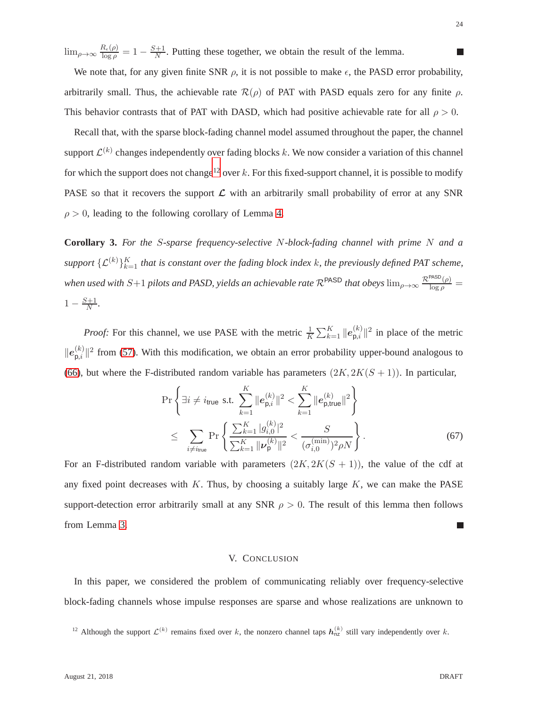$\lim_{\rho\to\infty}\frac{R_{\epsilon}(\rho)}{\log\rho}$  $\frac{R_{\epsilon}(\rho)}{\log \rho} = 1 - \frac{S+1}{N}$  $\frac{H+1}{N}$ . Putting these together, we obtain the result of the lemma.

We note that, for any given finite SNR  $\rho$ , it is not possible to make  $\epsilon$ , the PASD error probability, arbitrarily small. Thus, the achievable rate  $\mathcal{R}(\rho)$  of PAT with PASD equals zero for any finite  $\rho$ . This behavior contrasts that of PAT with DASD, which had positive achievable rate for all  $\rho > 0$ .

Recall that, with the sparse block-fading channel model assumed throughout the paper, the channel support  $\mathcal{L}^{(k)}$  changes independently over fading blocks k. We now consider a variation of this channel for which the support does not change<sup>[12](#page-23-0)</sup> over k. For this fixed-support channel, it is possible to modify PASE so that it recovers the support  $\mathcal L$  with an arbitrarily small probability of error at any SNR  $\rho > 0$ , leading to the following corollary of Lemma [4.](#page-22-0)

**Corollary 3.** *For the* S*-sparse frequency-selective* N*-block-fading channel with prime* N *and a* support  $\{\mathcal{L}^{(k)}\}_{k=1}^K$  *that is constant over the fading block index k, the previously defined PAT scheme, when used with*  $S+1$  *pilots and PASD, yields an achievable rate*  $R^{PASD}$  *that obeys*  $\lim_{\rho\to\infty}\frac{R^{PASD}(\rho)}{\log\rho}$  =  $1 - \frac{S+1}{N}$  $\frac{N+1}{N}$ .

*Proof:* For this channel, we use PASE with the metric  $\frac{1}{K} \sum_{k=1}^{K} ||e_{p,i}^{(k)}||$  $\sum_{p,i}^{(k)}$  ||<sup>2</sup> in place of the metric  $\| \boldsymbol{e}_{\mathsf{p},i}^{(k)}$  $\binom{k}{p,i}$  from [\(57\)](#page-20-1). With this modification, we obtain an error probability upper-bound analogous to [\(66\)](#page-21-1), but where the F-distributed random variable has parameters  $(2K, 2K(S + 1))$ . In particular,

$$
\Pr\left\{\exists i \neq i_{\text{true}} \text{ s.t. } \sum_{k=1}^{K} \|e_{\mathsf{p},i}^{(k)}\|^2 < \sum_{k=1}^{K} \|e_{\mathsf{p},\text{true}}^{(k)}\|^2 \right\} \\
\leq \sum_{i \neq i_{\text{true}}} \Pr\left\{\frac{\sum_{k=1}^{K} |g_{i,0}^{(k)}|^2}{\sum_{k=1}^{K} \|\nu_{\mathsf{p}}^{(k)}\|^2} < \frac{S}{(\sigma_{i,0}^{(\min)})^2 \rho N} \right\}.
$$
\n(67)

For an F-distributed random variable with parameters  $(2K, 2K(S + 1))$ , the value of the cdf at any fixed point decreases with  $K$ . Thus, by choosing a suitably large  $K$ , we can make the PASE support-detection error arbitrarily small at any SNR  $\rho > 0$ . The result of this lemma then follows from Lemma [3.](#page-14-1) m.

### V. CONCLUSION

In this paper, we considered the problem of communicating reliably over frequency-selective block-fading channels whose impulse responses are sparse and whose realizations are unknown to

<span id="page-23-0"></span><sup>&</sup>lt;sup>12</sup> Although the support  $\mathcal{L}^{(k)}$  remains fixed over k, the nonzero channel taps  $h_{nz}^{(k)}$  still vary independently over k.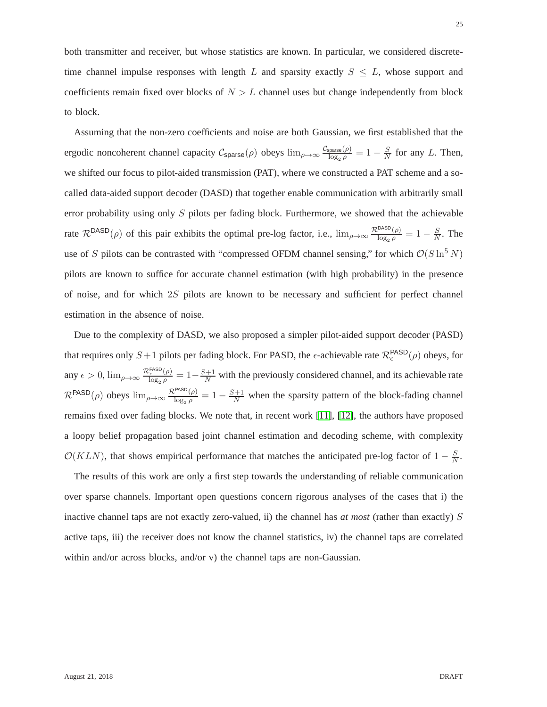both transmitter and receiver, but whose statistics are known. In particular, we considered discretetime channel impulse responses with length L and sparsity exactly  $S \leq L$ , whose support and coefficients remain fixed over blocks of  $N > L$  channel uses but change independently from block to block.

Assuming that the non-zero coefficients and noise are both Gaussian, we first established that the ergodic noncoherent channel capacity  $C_{\text{sparse}}(\rho)$  obeys  $\lim_{\rho\to\infty} \frac{C_{\text{sparse}}(\rho)}{\log_2 \rho}$  $\frac{\text{sparse}(\rho)}{\log_2\rho}=1-\frac{S}{N}$  $\frac{S}{N}$  for any L. Then, we shifted our focus to pilot-aided transmission (PAT), where we constructed a PAT scheme and a socalled data-aided support decoder (DASD) that together enable communication with arbitrarily small error probability using only  $S$  pilots per fading block. Furthermore, we showed that the achievable rate  $\mathcal{R}^{DASD}(\rho)$  of this pair exhibits the optimal pre-log factor, i.e.,  $\lim_{\rho\to\infty} \frac{\mathcal{R}^{DASD}(\rho)}{\log_2 \rho} = 1 - \frac{S}{N}$  $\frac{S}{N}$ . The use of S pilots can be contrasted with "compressed OFDM channel sensing," for which  $\mathcal{O}(S \ln^5 N)$ pilots are known to suffice for accurate channel estimation (with high probability) in the presence of noise, and for which 2S pilots are known to be necessary and sufficient for perfect channel estimation in the absence of noise.

Due to the complexity of DASD, we also proposed a simpler pilot-aided support decoder (PASD) that requires only  $S+1$  pilots per fading block. For PASD, the  $\epsilon$ -achievable rate  $\mathcal{R}^{\text{PASD}}_{\epsilon}(\rho)$  obeys, for any  $\epsilon > 0$ ,  $\lim_{\rho \to \infty} \frac{\mathcal{R}_{\epsilon}^{\text{PASD}}(\rho)}{\log_2 \rho}$  $\frac{\cos\theta}{\cos\theta}$  =  $1-\frac{S+1}{N}$  with the previously considered channel, and its achievable rate  $\mathcal{R}^{\mathsf{PASD}}(\rho)$  obeys  $\lim_{\rho\to\infty}\frac{\mathcal{R}^{\mathsf{PASD}}(\rho)}{\log_2\rho}$  $\frac{\text{PASD}(\rho)}{\log_2 \rho} = 1 - \frac{S+1}{N}$  when the sparsity pattern of the block-fading channel remains fixed over fading blocks. We note that, in recent work [\[11\]](#page-28-9), [\[12\]](#page-28-10), the authors have proposed a loopy belief propagation based joint channel estimation and decoding scheme, with complexity  $\mathcal{O}(KLN)$ , that shows empirical performance that matches the anticipated pre-log factor of  $1 - \frac{S}{N}$  $\frac{S}{N}$ .

The results of this work are only a first step towards the understanding of reliable communication over sparse channels. Important open questions concern rigorous analyses of the cases that i) the inactive channel taps are not exactly zero-valued, ii) the channel has *at most* (rather than exactly) S active taps, iii) the receiver does not know the channel statistics, iv) the channel taps are correlated within and/or across blocks, and/or v) the channel taps are non-Gaussian.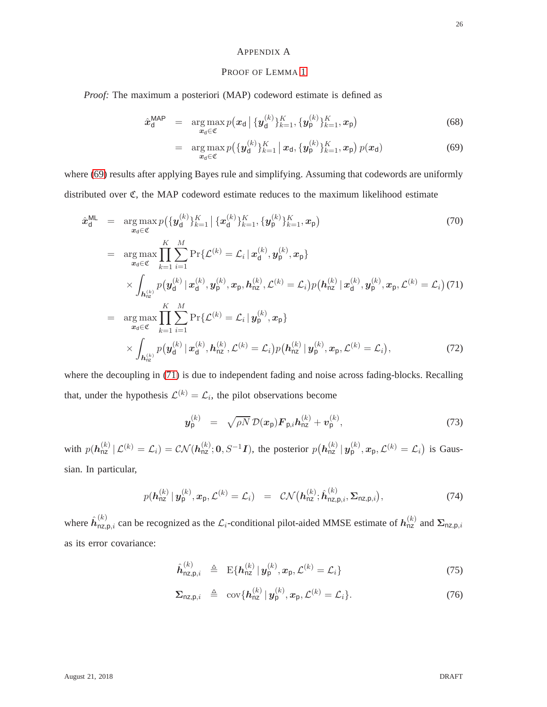#### <span id="page-25-0"></span>APPENDIX A

## PROOF OF LEMMA [1](#page-8-0)

*Proof:* The maximum a posteriori (MAP) codeword estimate is defined as

<span id="page-25-1"></span>
$$
\hat{\boldsymbol{x}}_{\mathsf{d}}^{\mathsf{MAP}} = \arg \max_{\boldsymbol{x}_{\mathsf{d}} \in \mathfrak{C}} p(\boldsymbol{x}_{\mathsf{d}} \,|\, \{\boldsymbol{y}_{\mathsf{d}}^{(k)}\}_{k=1}^K, \{\boldsymbol{y}_{\mathsf{p}}^{(k)}\}_{k=1}^K, \boldsymbol{x}_{\mathsf{p}})
$$
\n(68)

$$
= \arg \max_{\mathbf{x}_d \in \mathfrak{C}} p\big(\{\mathbf{y}_d^{(k)}\}_{k=1}^K \,|\, \mathbf{x}_d, \{\mathbf{y}_p^{(k)}\}_{k=1}^K, \mathbf{x}_p\big) \, p(\mathbf{x}_d) \tag{69}
$$

where [\(69\)](#page-25-1) results after applying Bayes rule and simplifying. Assuming that codewords are uniformly distributed over C, the MAP codeword estimate reduces to the maximum likelihood estimate

<span id="page-25-2"></span>
$$
\hat{\mathbf{x}}_{d}^{\text{ML}} = \underset{\mathbf{x}_{d} \in \mathfrak{C}}{\arg \max} p\big(\{\mathbf{y}_{d}^{(k)}\}_{k=1}^{K}\,|\,\{\mathbf{x}_{d}^{(k)}\}_{k=1}^{K},\{\mathbf{y}_{p}^{(k)}\}_{k=1}^{K},\mathbf{x}_{p}\big) \qquad (70)
$$
\n
$$
= \underset{\mathbf{x}_{d} \in \mathfrak{C}}{\arg \max} \prod_{k=1}^{K} \sum_{i=1}^{M} \Pr\{\mathcal{L}^{(k)} = \mathcal{L}_{i} \,|\,\mathbf{x}_{d}^{(k)},\mathbf{y}_{p}^{(k)},\mathbf{x}_{p}\} \times \int_{h_{nz}^{(k)}} p\big(\mathbf{y}_{d}^{(k)} \,|\,\mathbf{x}_{d}^{(k)},\mathbf{y}_{p}^{(k)},\mathbf{x}_{p},\mathbf{h}_{nz}^{(k)},\mathcal{L}^{(k)} = \mathcal{L}_{i}\big)p\big(\mathbf{h}_{nz}^{(k)} \,|\,\mathbf{x}_{d}^{(k)},\mathbf{y}_{p}^{(k)},\mathbf{x}_{p},\mathcal{L}^{(k)} = \mathcal{L}_{i}\big) (71)
$$
\n
$$
= \underset{\mathbf{x}_{d} \in \mathfrak{C}}{\arg \max} \prod_{k=1}^{K} \sum_{i=1}^{M} \Pr\{\mathcal{L}^{(k)} = \mathcal{L}_{i} \,|\,\mathbf{y}_{p}^{(k)},\mathbf{x}_{p}\} \times \int_{h_{nz}^{(k)}} p\big(\mathbf{y}_{d}^{(k)} \,|\,\mathbf{x}_{d}^{(k)},\mathbf{h}_{nz}^{(k)},\mathcal{L}^{(k)} = \mathcal{L}_{i}\big) p\big(\mathbf{h}_{nz}^{(k)} \,|\,\mathbf{y}_{p}^{(k)},\mathbf{x}_{p},\mathcal{L}^{(k)} = \mathcal{L}_{i}\big), \qquad (72)
$$

where the decoupling in [\(71\)](#page-25-2) is due to independent fading and noise across fading-blocks. Recalling that, under the hypothesis  $\mathcal{L}^{(k)} = \mathcal{L}_i$ , the pilot observations become

<span id="page-25-3"></span>
$$
\boldsymbol{y}_{\mathsf{p}}^{(k)} = \sqrt{\rho N} \, \mathcal{D}(\boldsymbol{x}_{\mathsf{p}}) \boldsymbol{F}_{\mathsf{p},i} \boldsymbol{h}_{\mathsf{n}\mathsf{z}}^{(k)} + \boldsymbol{v}_{\mathsf{p}}^{(k)}, \tag{73}
$$

with  $p(h_{nz}^{(k)} | \mathcal{L}^{(k)} = \mathcal{L}_i) = \mathcal{CN}(h_{nz}^{(k)}; 0, S^{-1}I)$ , the posterior  $p(h_{nz}^{(k)} | y_p^{(k)}, x_p, \mathcal{L}^{(k)} = \mathcal{L}_i)$  is Gaussian. In particular,

<span id="page-25-4"></span>
$$
p(\boldsymbol{h}_{\mathsf{nz}}^{(k)} \mid \boldsymbol{y}_{\mathsf{p}}^{(k)}, \boldsymbol{x}_{\mathsf{p}}, \mathcal{L}^{(k)} = \mathcal{L}_i) = \mathcal{CN}(\boldsymbol{h}_{\mathsf{nz}}^{(k)}; \hat{\boldsymbol{h}}_{\mathsf{nz},\mathsf{p},i}^{(k)}, \boldsymbol{\Sigma}_{\mathsf{nz},\mathsf{p},i}),
$$
(74)

where  $\hat{h}_{nz,p,i}^{(k)}$  can be recognized as the  $\mathcal{L}_i$ -conditional pilot-aided MMSE estimate of  $h_{nz}^{(k)}$  and  $\Sigma_{nz,p,i}$ as its error covariance:

$$
\hat{\bm{h}}_{\text{nz},\text{p},i}^{(k)} \triangleq \text{ E}\{\bm{h}_{\text{nz}}^{(k)} \,|\, \bm{y}_{\text{p}}^{(k)}, \bm{x}_{\text{p}}, \mathcal{L}^{(k)} = \mathcal{L}_i\} \tag{75}
$$

$$
\Sigma_{\text{nz},\text{p},i} \triangleq \text{cov}\{\boldsymbol{h}_{\text{nz}}^{(k)} \mid \boldsymbol{y}_{\text{p}}^{(k)}, \boldsymbol{x}_{\text{p}}, \mathcal{L}^{(k)} = \mathcal{L}_i\}.
$$
 (76)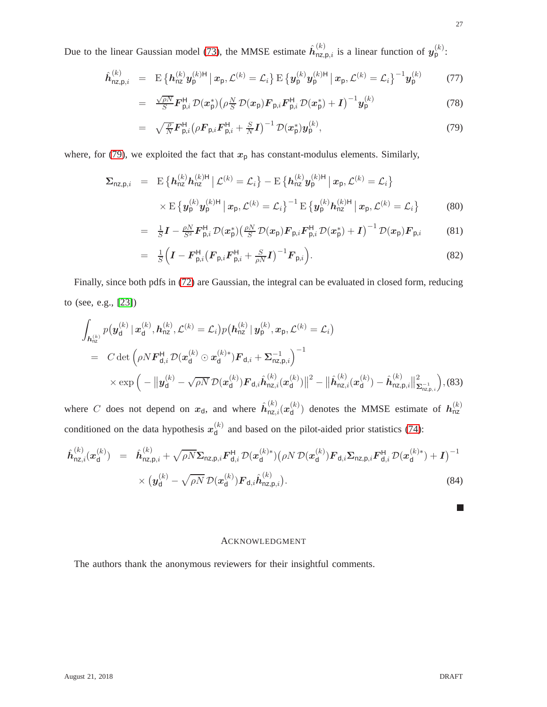Due to the linear Gaussian model [\(73\)](#page-25-3), the MMSE estimate  $\hat{h}_{nz,p,i}^{(k)}$  is a linear function of  $y_p^{(k)}$ :

<span id="page-26-0"></span>
$$
\hat{\boldsymbol{h}}_{\text{nz},\text{p},i}^{(k)} = \mathbb{E} \left\{ \boldsymbol{h}_{\text{nz}}^{(k)} \boldsymbol{y}_{\text{p}}^{(k)H} \, \big| \, \boldsymbol{x}_{\text{p}}, \mathcal{L}^{(k)} = \mathcal{L}_i \right\} \mathbb{E} \left\{ \boldsymbol{y}_{\text{p}}^{(k)} \boldsymbol{y}_{\text{p}}^{(k)H} \, \big| \, \boldsymbol{x}_{\text{p}}, \mathcal{L}^{(k)} = \mathcal{L}_i \right\}^{-1} \boldsymbol{y}_{\text{p}}^{(k)} \tag{77}
$$

$$
= \frac{\sqrt{\rho N}}{S} \boldsymbol{F}_{\mathsf{p},i}^{\mathsf{H}} \mathcal{D}(\boldsymbol{x}_{\mathsf{p}}^{*}) \left( \rho \frac{N}{S} \mathcal{D}(\boldsymbol{x}_{\mathsf{p}}) \boldsymbol{F}_{\mathsf{p},i} \boldsymbol{F}_{\mathsf{p},i}^{\mathsf{H}} \mathcal{D}(\boldsymbol{x}_{\mathsf{p}}^{*}) + \boldsymbol{I} \right)^{-1} \boldsymbol{y}_{\mathsf{p}}^{(k)} \tag{78}
$$

$$
= \sqrt{\frac{\rho}{N}} \mathbf{F}_{\mathsf{p},i}^{\mathsf{H}} \big(\rho \mathbf{F}_{\mathsf{p},i} \mathbf{F}_{\mathsf{p},i}^{\mathsf{H}} + \frac{S}{N} \mathbf{I}\big)^{-1} \mathcal{D}(\mathbf{x}_{\mathsf{p}}^{*}) \mathbf{y}_{\mathsf{p}}^{(k)}, \tag{79}
$$

where, for [\(79\)](#page-26-0), we exploited the fact that  $x_p$  has constant-modulus elements. Similarly,

$$
\Sigma_{\text{nz},\text{p},i} = \mathbb{E} \left\{ h_{\text{nz}}^{(k)} h_{\text{nz}}^{(k)H} \, \middle| \, \mathcal{L}^{(k)} = \mathcal{L}_i \right\} - \mathbb{E} \left\{ h_{\text{nz}}^{(k)} y_{\text{p}}^{(k)H} \, \middle| \, x_{\text{p}}, \mathcal{L}^{(k)} = \mathcal{L}_i \right\} \\
\times \mathbb{E} \left\{ y_{\text{p}}^{(k)} y_{\text{p}}^{(k)H} \, \middle| \, x_{\text{p}}, \mathcal{L}^{(k)} = \mathcal{L}_i \right\}^{-1} \mathbb{E} \left\{ y_{\text{p}}^{(k)} h_{\text{nz}}^{(k)H} \, \middle| \, x_{\text{p}}, \mathcal{L}^{(k)} = \mathcal{L}_i \right\} \tag{80}
$$

$$
= \frac{1}{S}\boldsymbol{I} - \frac{\rho N}{S^2}\boldsymbol{F}_{\mathsf{p},i}^{\mathsf{H}} \mathcal{D}(\boldsymbol{x}_{\mathsf{p}}^{*}) \left(\frac{\rho N}{S}\mathcal{D}(\boldsymbol{x}_{\mathsf{p}})\boldsymbol{F}_{\mathsf{p},i}\boldsymbol{F}_{\mathsf{p},i}^{\mathsf{H}} \mathcal{D}(\boldsymbol{x}_{\mathsf{p}}^{*}) + \boldsymbol{I}\right)^{-1} \mathcal{D}(\boldsymbol{x}_{\mathsf{p}})\boldsymbol{F}_{\mathsf{p},i} \tag{81}
$$

$$
= \frac{1}{S}\Big(\boldsymbol{I}-\boldsymbol{F}_{\mathsf{p},i}^{\mathsf{H}}\big(\boldsymbol{F}_{\mathsf{p},i}\boldsymbol{F}_{\mathsf{p},i}^{\mathsf{H}}+\frac{S}{\rho N}\boldsymbol{I}\big)^{-1}\boldsymbol{F}_{\mathsf{p},i}\Big).
$$
(82)

Finally, since both pdfs in [\(72\)](#page-25-2) are Gaussian, the integral can be evaluated in closed form, reducing to (see, e.g., [\[23\]](#page-29-1))

$$
\int_{\mathbf{h}_{\text{nz}}^{(k)}} p(\mathbf{y}_{\text{d}}^{(k)} | \mathbf{x}_{\text{d}}^{(k)}, \mathbf{h}_{\text{nz}}^{(k)}, \mathcal{L}^{(k)} = \mathcal{L}_{i}) p(\mathbf{h}_{\text{nz}}^{(k)} | \mathbf{y}_{\text{p}}^{(k)}, \mathbf{x}_{\text{p}}, \mathcal{L}^{(k)} = \mathcal{L}_{i})
$$
\n
$$
= C \det \left( \rho N \mathbf{F}_{\text{d},i}^{\text{H}} \mathcal{D}(\mathbf{x}_{\text{d}}^{(k)} \odot \mathbf{x}_{\text{d}}^{(k)*}) \mathbf{F}_{\text{d},i} + \mathbf{\Sigma}_{\text{nz},\text{p},i}^{-1} \right)^{-1}
$$
\n
$$
\times \exp \left( -\left\| \mathbf{y}_{\text{d}}^{(k)} - \sqrt{\rho N} \mathcal{D}(\mathbf{x}_{\text{d}}^{(k)}) \mathbf{F}_{\text{d},i} \hat{\mathbf{h}}_{\text{nz},i}^{(k)} (\mathbf{x}_{\text{d}}^{(k)}) \right\|^{2} - \left\| \hat{\mathbf{h}}_{\text{nz},i}^{(k)} (\mathbf{x}_{\text{d}}^{(k)}) - \hat{\mathbf{h}}_{\text{nz},\text{p},i}^{(k)} \right\|_{\mathbf{\Sigma}_{\text{nz},\text{p},i}^{-1}}^{-1} \right),
$$
\n(83)

where C does not depend on  $x_d$ , and where  $\hat{h}^{(k)}_{nz,i}(x_d^{(k)})$  $\mathbf{d}^{(k)}$  denotes the MMSE estimate of  $\mathbf{h}_{\text{nz}}^{(k)}$ conditioned on the data hypothesis  $x_0^{(k)}$  $\alpha_d^{(k)}$  and based on the pilot-aided prior statistics [\(74\)](#page-25-4):

$$
\hat{\boldsymbol{h}}_{\text{nz},i}^{(k)}(\boldsymbol{x}_{\text{d}}^{(k)}) = \hat{\boldsymbol{h}}_{\text{nz},\text{p},i}^{(k)} + \sqrt{\rho N} \Sigma_{\text{nz},\text{p},i} \boldsymbol{F}_{\text{d},i}^{H} \mathcal{D}(\boldsymbol{x}_{\text{d}}^{(k)*}) (\rho N \mathcal{D}(\boldsymbol{x}_{\text{d}}^{(k)}) \boldsymbol{F}_{\text{d},i} \Sigma_{\text{nz},\text{p},i} \boldsymbol{F}_{\text{d},i}^{H} \mathcal{D}(\boldsymbol{x}_{\text{d}}^{(k)*}) + \boldsymbol{I})^{-1} \times (\boldsymbol{y}_{\text{d}}^{(k)} - \sqrt{\rho N} \mathcal{D}(\boldsymbol{x}_{\text{d}}^{(k)}) \boldsymbol{F}_{\text{d},i} \hat{\boldsymbol{h}}_{\text{nz},\text{p},i}^{(k)}).
$$
\n(84)

#### ACKNOWLEDGMENT

The authors thank the anonymous reviewers for their insightful comments.

 $\overline{\phantom{a}}$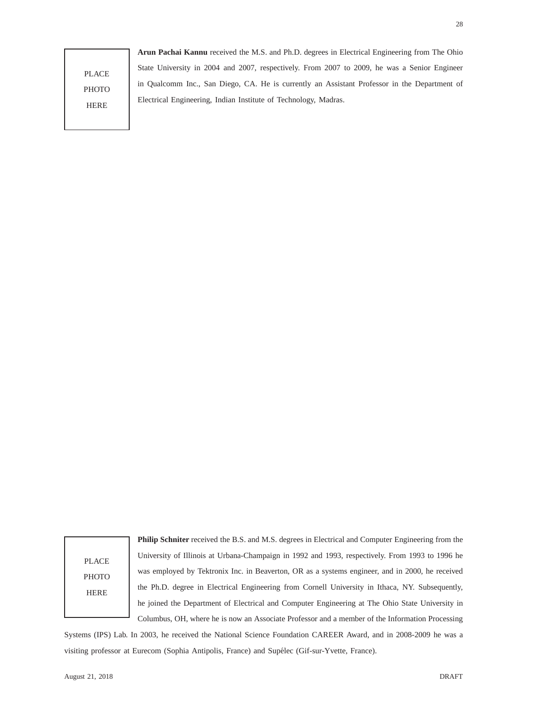## PLACE **PHOTO** HERE

**Arun Pachai Kannu** received the M.S. and Ph.D. degrees in Electrical Engineering from The Ohio State University in 2004 and 2007, respectively. From 2007 to 2009, he was a Senior Engineer in Qualcomm Inc., San Diego, CA. He is currently an Assistant Professor in the Department of Electrical Engineering, Indian Institute of Technology, Madras.

28

PLACE **PHOTO HERE** 

**Philip Schniter** received the B.S. and M.S. degrees in Electrical and Computer Engineering from the University of Illinois at Urbana-Champaign in 1992 and 1993, respectively. From 1993 to 1996 he was employed by Tektronix Inc. in Beaverton, OR as a systems engineer, and in 2000, he received the Ph.D. degree in Electrical Engineering from Cornell University in Ithaca, NY. Subsequently, he joined the Department of Electrical and Computer Engineering at The Ohio State University in Columbus, OH, where he is now an Associate Professor and a member of the Information Processing

Systems (IPS) Lab. In 2003, he received the National Science Foundation CAREER Award, and in 2008-2009 he was a visiting professor at Eurecom (Sophia Antipolis, France) and Supélec (Gif-sur-Yvette, France).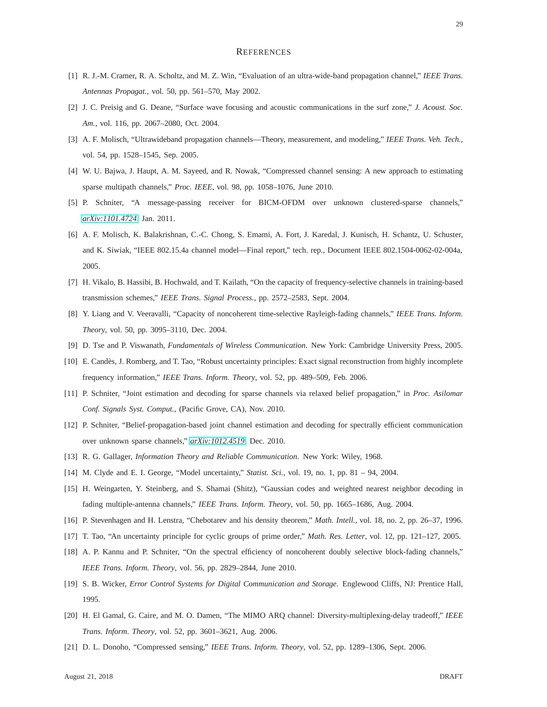#### **REFERENCES**

- <span id="page-28-0"></span>[1] R. J.-M. Cramer, R. A. Scholtz, and M. Z. Win, "Evaluation of an ultra-wide-band propagation channel," *IEEE Trans. Antennas Propagat.*, vol. 50, pp. 561–570, May 2002.
- <span id="page-28-1"></span>[2] J. C. Preisig and G. Deane, "Surface wave focusing and acoustic communications in the surf zone," *J. Acoust. Soc. Am.*, vol. 116, pp. 2067–2080, Oct. 2004.
- <span id="page-28-2"></span>[3] A. F. Molisch, "Ultrawideband propagation channels—Theory, measurement, and modeling," *IEEE Trans. Veh. Tech.*, vol. 54, pp. 1528–1545, Sep. 2005.
- <span id="page-28-3"></span>[4] W. U. Bajwa, J. Haupt, A. M. Sayeed, and R. Nowak, "Compressed channel sensing: A new approach to estimating sparse multipath channels," *Proc. IEEE*, vol. 98, pp. 1058–1076, June 2010.
- <span id="page-28-4"></span>[5] P. Schniter, "A message-passing receiver for BICM-OFDM over unknown clustered-sparse channels," *[arXiv:1101.4724](http://arxiv.org/abs/1101.4724)*, Jan. 2011.
- [6] A. F. Molisch, K. Balakrishnan, C.-C. Chong, S. Emami, A. Fort, J. Karedal, J. Kunisch, H. Schantz, U. Schuster, and K. Siwiak, "IEEE 802.15.4a channel model—Final report," tech. rep., Document IEEE 802.1504-0062-02-004a, 2005.
- <span id="page-28-6"></span><span id="page-28-5"></span>[7] H. Vikalo, B. Hassibi, B. Hochwald, and T. Kailath, "On the capacity of frequency-selective channels in training-based transmission schemes," *IEEE Trans. Signal Process.*, pp. 2572–2583, Sept. 2004.
- <span id="page-28-7"></span>[8] Y. Liang and V. Veeravalli, "Capacity of noncoherent time-selective Rayleigh-fading channels," *IEEE Trans. Inform. Theory*, vol. 50, pp. 3095–3110, Dec. 2004.
- <span id="page-28-8"></span>[9] D. Tse and P. Viswanath, *Fundamentals of Wireless Communication*. New York: Cambridge University Press, 2005.
- <span id="page-28-9"></span>[10] E. Candès, J. Romberg, and T. Tao, "Robust uncertainty principles: Exact signal reconstruction from highly incomplete frequency information," *IEEE Trans. Inform. Theory*, vol. 52, pp. 489–509, Feb. 2006.
- <span id="page-28-10"></span>[11] P. Schniter, "Joint estimation and decoding for sparse channels via relaxed belief propagation," in *Proc. Asilomar Conf. Signals Syst. Comput.*, (Pacific Grove, CA), Nov. 2010.
- <span id="page-28-11"></span>[12] P. Schniter, "Belief-propagation-based joint channel estimation and decoding for spectrally efficient communication over unknown sparse channels," *[arXiv:1012.4519](http://arxiv.org/abs/1012.4519)*, Dec. 2010.
- <span id="page-28-12"></span>[13] R. G. Gallager, *Information Theory and Reliable Communication*. New York: Wiley, 1968.
- <span id="page-28-13"></span>[14] M. Clyde and E. I. George, "Model uncertainty," *Statist. Sci.*, vol. 19, no. 1, pp. 81 – 94, 2004.
- <span id="page-28-14"></span>[15] H. Weingarten, Y. Steinberg, and S. Shamai (Shitz), "Gaussian codes and weighted nearest neighbor decoding in fading multiple-antenna channels," *IEEE Trans. Inform. Theory*, vol. 50, pp. 1665–1686, Aug. 2004.
- <span id="page-28-15"></span>[16] P. Stevenhagen and H. Lenstra, "Chebotarev and his density theorem," *Math. Intell.*, vol. 18, no. 2, pp. 26–37, 1996.
- <span id="page-28-16"></span>[17] T. Tao, "An uncertainty principle for cyclic groups of prime order," *Math. Res. Letter*, vol. 12, pp. 121–127, 2005.
- <span id="page-28-17"></span>[18] A. P. Kannu and P. Schniter, "On the spectral efficiency of noncoherent doubly selective block-fading channels," *IEEE Trans. Inform. Theory*, vol. 56, pp. 2829–2844, June 2010.
- <span id="page-28-18"></span>[19] S. B. Wicker, *Error Control Systems for Digital Communication and Storage*. Englewood Cliffs, NJ: Prentice Hall, 1995.
- <span id="page-28-19"></span>[20] H. El Gamal, G. Caire, and M. O. Damen, "The MIMO ARQ channel: Diversity-multiplexing-delay tradeoff," *IEEE Trans. Inform. Theory*, vol. 52, pp. 3601–3621, Aug. 2006.
- [21] D. L. Donoho, "Compressed sensing," *IEEE Trans. Inform. Theory*, vol. 52, pp. 1289–1306, Sept. 2006.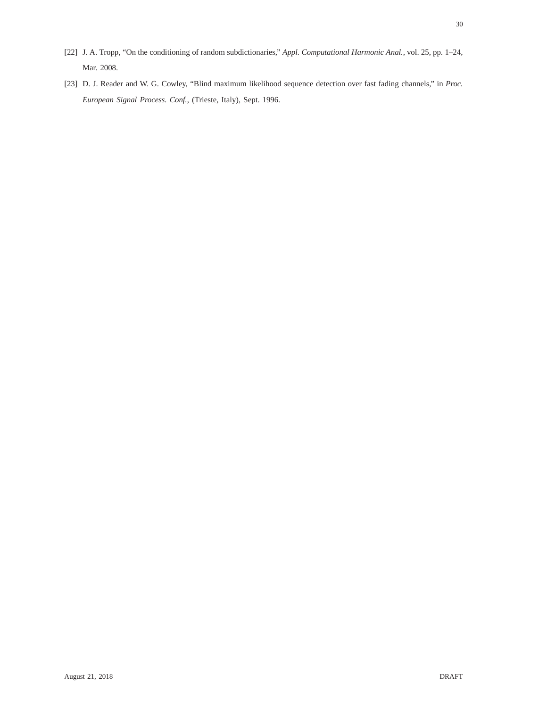- <span id="page-29-1"></span><span id="page-29-0"></span>[22] J. A. Tropp, "On the conditioning of random subdictionaries," *Appl. Computational Harmonic Anal.*, vol. 25, pp. 1–24, Mar. 2008.
- [23] D. J. Reader and W. G. Cowley, "Blind maximum likelihood sequence detection over fast fading channels," in *Proc. European Signal Process. Conf.*, (Trieste, Italy), Sept. 1996.